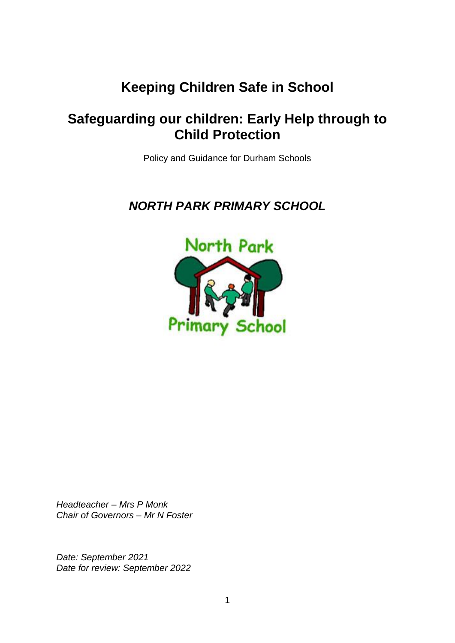# **Keeping Children Safe in School**

# **Safeguarding our children: Early Help through to Child Protection**

Policy and Guidance for Durham Schools

*NORTH PARK PRIMARY SCHOOL*



*Headteacher – Mrs P Monk Chair of Governors – Mr N Foster*

*Date: September 2021 Date for review: September 2022*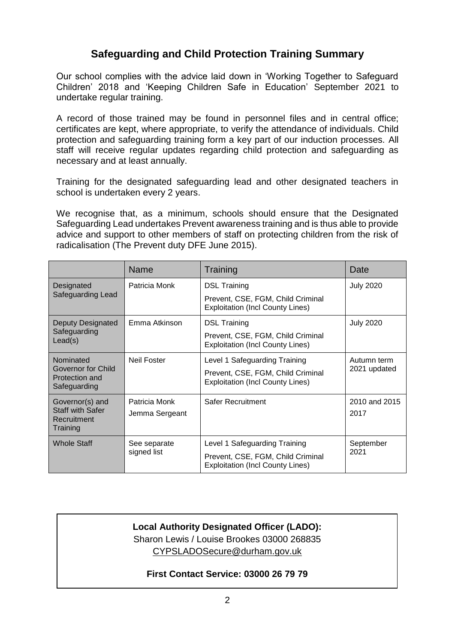### **Safeguarding and Child Protection Training Summary**

Our school complies with the advice laid down in 'Working Together to Safeguard Children' 2018 and 'Keeping Children Safe in Education' September 2021 to undertake regular training.

A record of those trained may be found in personnel files and in central office; certificates are kept, where appropriate, to verify the attendance of individuals. Child protection and safeguarding training form a key part of our induction processes. All staff will receive regular updates regarding child protection and safeguarding as necessary and at least annually.

Training for the designated safeguarding lead and other designated teachers in school is undertaken every 2 years.

We recognise that, as a minimum, schools should ensure that the Designated Safeguarding Lead undertakes Prevent awareness training and is thus able to provide advice and support to other members of staff on protecting children from the risk of radicalisation (The Prevent duty DFE June 2015).

|                                                                       | <b>Name</b>                 | Training                                                                     | Date                        |
|-----------------------------------------------------------------------|-----------------------------|------------------------------------------------------------------------------|-----------------------------|
| Designated<br>Safeguarding Lead                                       | Patricia Monk               | <b>DSL Training</b>                                                          | <b>July 2020</b>            |
|                                                                       |                             | Prevent, CSE, FGM, Child Criminal<br><b>Exploitation (Incl County Lines)</b> |                             |
| <b>Deputy Designated</b><br>Safeguarding<br>Lead(s)                   | Emma Atkinson               | <b>DSL Training</b>                                                          | <b>July 2020</b>            |
|                                                                       |                             | Prevent, CSE, FGM, Child Criminal<br><b>Exploitation (Incl County Lines)</b> |                             |
| Nominated<br>Governor for Child<br>Protection and<br>Safeguarding     | Neil Foster                 | Level 1 Safeguarding Training                                                | Autumn term<br>2021 updated |
|                                                                       |                             | Prevent, CSE, FGM, Child Criminal<br><b>Exploitation (Incl County Lines)</b> |                             |
| Governor(s) and<br><b>Staff with Safer</b><br>Recruitment<br>Training | Patricia Monk               | Safer Recruitment                                                            | 2010 and 2015               |
|                                                                       | Jemma Sergeant              |                                                                              | 2017                        |
| <b>Whole Staff</b>                                                    | See separate<br>signed list | Level 1 Safeguarding Training                                                | September<br>2021           |
|                                                                       |                             | Prevent, CSE, FGM, Child Criminal<br><b>Exploitation (Incl County Lines)</b> |                             |

### **Local Authority Designated Officer (LADO):** Sharon Lewis / Louise Brookes 03000 268835 [CYPSLADOSecure@durham.gov.uk](mailto:CYPSLADOSecure@durham.gov.uk)

#### **First Contact Service: 03000 26 79 79**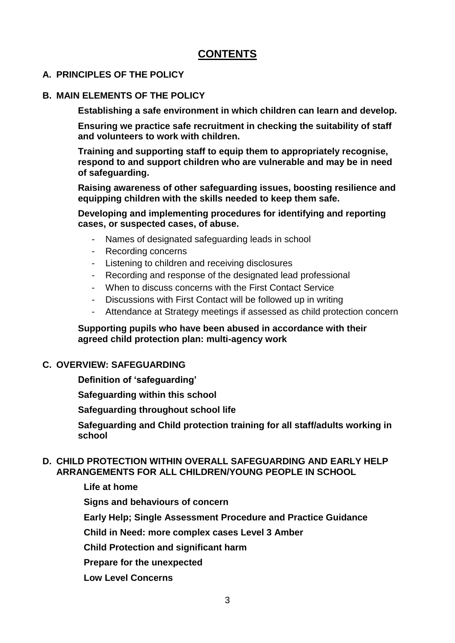### **CONTENTS**

#### **A. PRINCIPLES OF THE POLICY**

#### **B. MAIN ELEMENTS OF THE POLICY**

**Establishing a safe environment in which children can learn and develop.**

**Ensuring we practice safe recruitment in checking the suitability of staff and volunteers to work with children.**

**Training and supporting staff to equip them to appropriately recognise, respond to and support children who are vulnerable and may be in need of safeguarding.**

**Raising awareness of other safeguarding issues, boosting resilience and equipping children with the skills needed to keep them safe.**

**Developing and implementing procedures for identifying and reporting cases, or suspected cases, of abuse.**

- Names of designated safeguarding leads in school
- Recording concerns
- Listening to children and receiving disclosures
- Recording and response of the designated lead professional
- When to discuss concerns with the First Contact Service
- Discussions with First Contact will be followed up in writing
- Attendance at Strategy meetings if assessed as child protection concern

#### **Supporting pupils who have been abused in accordance with their agreed child protection plan: multi-agency work**

#### **C. OVERVIEW: SAFEGUARDING**

**Definition of 'safeguarding'**

**Safeguarding within this school**

**Safeguarding throughout school life**

**Safeguarding and Child protection training for all staff/adults working in school**

#### **D. CHILD PROTECTION WITHIN OVERALL SAFEGUARDING AND EARLY HELP ARRANGEMENTS FOR ALL CHILDREN/YOUNG PEOPLE IN SCHOOL**

**Life at home**

**Signs and behaviours of concern**

**Early Help; Single Assessment Procedure and Practice Guidance**

**Child in Need: more complex cases Level 3 Amber**

**Child Protection and significant harm**

**Prepare for the unexpected**

**Low Level Concerns**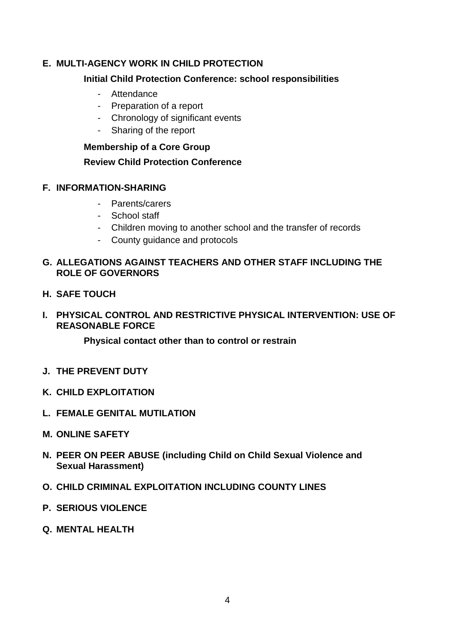#### **E. MULTI-AGENCY WORK IN CHILD PROTECTION**

#### **Initial Child Protection Conference: school responsibilities**

- Attendance
- Preparation of a report
- Chronology of significant events
- Sharing of the report

#### **Membership of a Core Group**

#### **Review Child Protection Conference**

#### **F. INFORMATION-SHARING**

- Parents/carers
- School staff
- Children moving to another school and the transfer of records
- County guidance and protocols

#### **G. ALLEGATIONS AGAINST TEACHERS AND OTHER STAFF INCLUDING THE ROLE OF GOVERNORS**

**H. SAFE TOUCH**

#### **I. PHYSICAL CONTROL AND RESTRICTIVE PHYSICAL INTERVENTION: USE OF REASONABLE FORCE**

**Physical contact other than to control or restrain**

- **J. THE PREVENT DUTY**
- **K. CHILD EXPLOITATION**
- **L. FEMALE GENITAL MUTILATION**
- **M. ONLINE SAFETY**
- **N. PEER ON PEER ABUSE (including Child on Child Sexual Violence and Sexual Harassment)**
- **O. CHILD CRIMINAL EXPLOITATION INCLUDING COUNTY LINES**
- **P. SERIOUS VIOLENCE**
- **Q. MENTAL HEALTH**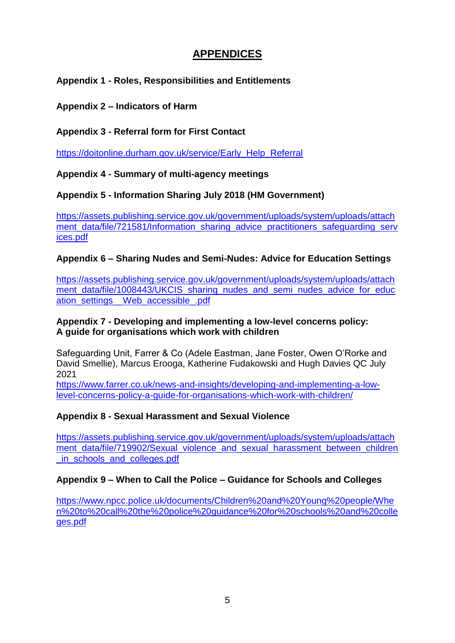### **APPENDICES**

**Appendix 1 - Roles, Responsibilities and Entitlements**

**Appendix 2 – Indicators of Harm**

#### **Appendix 3 - Referral form for First Contact**

[https://doitonline.durham.gov.uk/service/Early\\_Help\\_Referral](https://doitonline.durham.gov.uk/service/Early_Help_Referral)

**Appendix 4 - Summary of multi-agency meetings**

**Appendix 5 - Information Sharing July 2018 (HM Government)**

[https://assets.publishing.service.gov.uk/government/uploads/system/uploads/attach](https://assets.publishing.service.gov.uk/government/uploads/system/uploads/attachment_data/file/721581/Information_sharing_advice_practitioners_safeguarding_services.pdf) ment data/file/721581/Information sharing advice practitioners safeguarding serv [ices.pdf](https://assets.publishing.service.gov.uk/government/uploads/system/uploads/attachment_data/file/721581/Information_sharing_advice_practitioners_safeguarding_services.pdf)

#### **Appendix 6 – Sharing Nudes and Semi-Nudes: Advice for Education Settings**

[https://assets.publishing.service.gov.uk/government/uploads/system/uploads/attach](https://assets.publishing.service.gov.uk/government/uploads/system/uploads/attachment_data/file/1008443/UKCIS_sharing_nudes_and_semi_nudes_advice_for_education_settings__Web_accessible_.pdf) ment data/file/1008443/UKCIS sharing nudes and semi\_nudes\_advice\_for\_educ [ation\\_settings\\_\\_Web\\_accessible\\_.pdf](https://assets.publishing.service.gov.uk/government/uploads/system/uploads/attachment_data/file/1008443/UKCIS_sharing_nudes_and_semi_nudes_advice_for_education_settings__Web_accessible_.pdf)

#### **Appendix 7 - Developing and implementing a low-level concerns policy: A guide for organisations which work with children**

Safeguarding Unit, Farrer & Co (Adele Eastman, Jane Foster, Owen O'Rorke and David Smellie), Marcus Erooga, Katherine Fudakowski and Hugh Davies QC July 2021

[https://www.farrer.co.uk/news-and-insights/developing-and-implementing-a-low](https://www.farrer.co.uk/news-and-insights/developing-and-implementing-a-low-level-concerns-policy-a-guide-for-organisations-which-work-with-children/)[level-concerns-policy-a-guide-for-organisations-which-work-with-children/](https://www.farrer.co.uk/news-and-insights/developing-and-implementing-a-low-level-concerns-policy-a-guide-for-organisations-which-work-with-children/)

### **Appendix 8 - Sexual Harassment and Sexual Violence**

[https://assets.publishing.service.gov.uk/government/uploads/system/uploads/attach](https://assets.publishing.service.gov.uk/government/uploads/system/uploads/attachment_data/file/719902/Sexual_violence_and_sexual_harassment_between_children_in_schools_and_colleges.pdf) [ment\\_data/file/719902/Sexual\\_violence\\_and\\_sexual\\_harassment\\_between\\_children](https://assets.publishing.service.gov.uk/government/uploads/system/uploads/attachment_data/file/719902/Sexual_violence_and_sexual_harassment_between_children_in_schools_and_colleges.pdf) [\\_in\\_schools\\_and\\_colleges.pdf](https://assets.publishing.service.gov.uk/government/uploads/system/uploads/attachment_data/file/719902/Sexual_violence_and_sexual_harassment_between_children_in_schools_and_colleges.pdf)

### **Appendix 9 – When to Call the Police – Guidance for Schools and Colleges**

[https://www.npcc.police.uk/documents/Children%20and%20Young%20people/Whe](https://www.npcc.police.uk/documents/Children%20and%20Young%20people/When%20to%20call%20the%20police%20guidance%20for%20schools%20and%20colleges.pdf) [n%20to%20call%20the%20police%20guidance%20for%20schools%20and%20colle](https://www.npcc.police.uk/documents/Children%20and%20Young%20people/When%20to%20call%20the%20police%20guidance%20for%20schools%20and%20colleges.pdf) [ges.pdf](https://www.npcc.police.uk/documents/Children%20and%20Young%20people/When%20to%20call%20the%20police%20guidance%20for%20schools%20and%20colleges.pdf)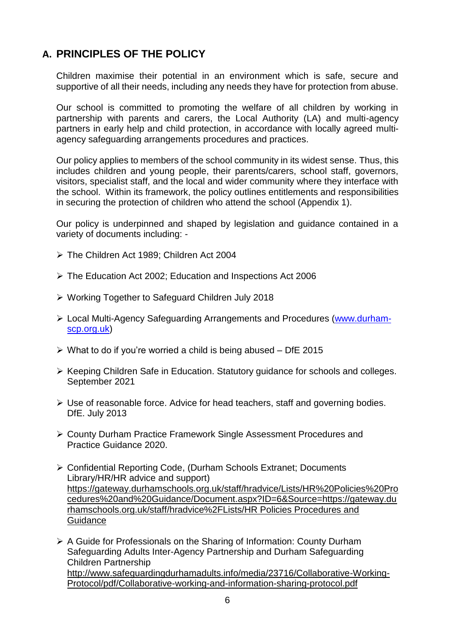## **A. PRINCIPLES OF THE POLICY**

Children maximise their potential in an environment which is safe, secure and supportive of all their needs, including any needs they have for protection from abuse.

Our school is committed to promoting the welfare of all children by working in partnership with parents and carers, the Local Authority (LA) and multi-agency partners in early help and child protection, in accordance with locally agreed multiagency safeguarding arrangements procedures and practices.

Our policy applies to members of the school community in its widest sense. Thus, this includes children and young people, their parents/carers, school staff, governors, visitors, specialist staff, and the local and wider community where they interface with the school. Within its framework, the policy outlines entitlements and responsibilities in securing the protection of children who attend the school (Appendix 1).

Our policy is underpinned and shaped by legislation and guidance contained in a variety of documents including: -

- ➢ The Children Act 1989; Children Act 2004
- ➢ The Education Act 2002; Education and Inspections Act 2006
- ➢ Working Together to Safeguard Children July 2018
- ➢ Local Multi-Agency Safeguarding Arrangements and Procedures [\(www.durham](http://www.durham-scp.org.uk/)[scp.org.uk\)](http://www.durham-scp.org.uk/)
- $\triangleright$  What to do if you're worried a child is being abused DfE 2015
- ➢ Keeping Children Safe in Education. Statutory guidance for schools and colleges. September 2021
- $\triangleright$  Use of reasonable force. Advice for head teachers, staff and governing bodies. DfE. July 2013
- ➢ County Durham Practice Framework Single Assessment Procedures and Practice Guidance 2020.
- ➢ Confidential Reporting Code, (Durham Schools Extranet; Documents Library/HR/HR advice and support) [https://gateway.durhamschools.org.uk/staff/hradvice/Lists/HR%20Policies%20Pro](https://gateway.durhamschools.org.uk/staff/hradvice/Lists/HR%20Policies%20Procedures%20and%20Guidance/Document.aspx?ID=6&Source=https://gateway.durhamschools.org.uk/staff/hradvice%2FLists/HR%20Policies%20Procedures%20and%20Guidance%20) [cedures%20and%20Guidance/Document.aspx?ID=6&Source=https://gateway.du](https://gateway.durhamschools.org.uk/staff/hradvice/Lists/HR%20Policies%20Procedures%20and%20Guidance/Document.aspx?ID=6&Source=https://gateway.durhamschools.org.uk/staff/hradvice%2FLists/HR%20Policies%20Procedures%20and%20Guidance%20) [rhamschools.org.uk/staff/hradvice%2FLists/HR Policies Procedures and](https://gateway.durhamschools.org.uk/staff/hradvice/Lists/HR%20Policies%20Procedures%20and%20Guidance/Document.aspx?ID=6&Source=https://gateway.durhamschools.org.uk/staff/hradvice%2FLists/HR%20Policies%20Procedures%20and%20Guidance%20)  **[Guidance](https://gateway.durhamschools.org.uk/staff/hradvice/Lists/HR%20Policies%20Procedures%20and%20Guidance/Document.aspx?ID=6&Source=https://gateway.durhamschools.org.uk/staff/hradvice%2FLists/HR%20Policies%20Procedures%20and%20Guidance%20)**
- ➢ A Guide for Professionals on the Sharing of Information: County Durham Safeguarding Adults Inter-Agency Partnership and Durham Safeguarding Children Partnership [http://www.safeguardingdurhamadults.info/media/23716/Collaborative-Working-](http://www.safeguardingdurhamadults.info/media/23716/Collaborative-Working-Protocol/pdf/Collaborative-working-and-information-sharing-protocol.pdf)[Protocol/pdf/Collaborative-working-and-information-sharing-protocol.pdf](http://www.safeguardingdurhamadults.info/media/23716/Collaborative-Working-Protocol/pdf/Collaborative-working-and-information-sharing-protocol.pdf)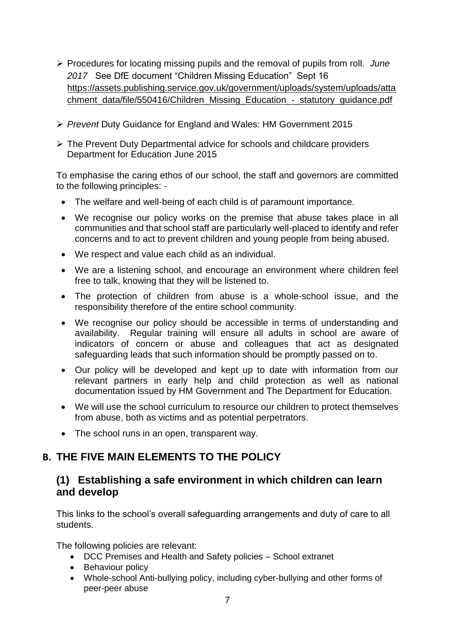- ➢ Procedures for locating missing pupils and the removal of pupils from roll. *June 2017* See DfE document "Children Missing Education" Sept 16 [https://assets.publishing.service.gov.uk/government/uploads/system/uploads/atta](https://assets.publishing.service.gov.uk/government/uploads/system/uploads/attachment_data/file/550416/Children_Missing_Education_-_statutory_guidance.pdf) [chment\\_data/file/550416/Children\\_Missing\\_Education\\_-\\_statutory\\_guidance.pdf](https://assets.publishing.service.gov.uk/government/uploads/system/uploads/attachment_data/file/550416/Children_Missing_Education_-_statutory_guidance.pdf)
- ➢ *Prevent* Duty Guidance for England and Wales: HM Government 2015
- ➢ The Prevent Duty Departmental advice for schools and childcare providers Department for Education June 2015

To emphasise the caring ethos of our school, the staff and governors are committed to the following principles: -

- The welfare and well-being of each child is of paramount importance.
- We recognise our policy works on the premise that abuse takes place in all communities and that school staff are particularly well-placed to identify and refer concerns and to act to prevent children and young people from being abused.
- We respect and value each child as an individual.
- We are a listening school, and encourage an environment where children feel free to talk, knowing that they will be listened to.
- The protection of children from abuse is a whole-school issue, and the responsibility therefore of the entire school community.
- We recognise our policy should be accessible in terms of understanding and availability. Regular training will ensure all adults in school are aware of indicators of concern or abuse and colleagues that act as designated safeguarding leads that such information should be promptly passed on to.
- Our policy will be developed and kept up to date with information from our relevant partners in early help and child protection as well as national documentation issued by HM Government and The Department for Education.
- We will use the school curriculum to resource our children to protect themselves from abuse, both as victims and as potential perpetrators.
- The school runs in an open, transparent way.

## **B. THE FIVE MAIN ELEMENTS TO THE POLICY**

### **(1) Establishing a safe environment in which children can learn and develop**

This links to the school's overall safeguarding arrangements and duty of care to all students.

The following policies are relevant:

- DCC Premises and Health and Safety policies School extranet
- Behaviour policy
- Whole-school Anti-bullying policy, including cyber-bullying and other forms of peer-peer abuse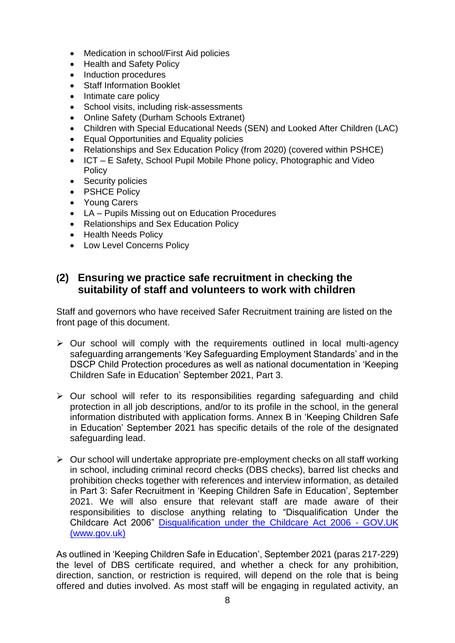- Medication in school/First Aid policies
- Health and Safety Policy
- Induction procedures
- **Staff Information Booklet**
- Intimate care policy
- School visits, including risk-assessments
- Online Safety (Durham Schools Extranet)
- Children with Special Educational Needs (SEN) and Looked After Children (LAC)
- Equal Opportunities and Equality policies
- Relationships and Sex Education Policy (from 2020) (covered within PSHCE)
- ICT E Safety, School Pupil Mobile Phone policy, Photographic and Video **Policy**
- Security policies
- PSHCE Policy
- Young Carers
- LA Pupils Missing out on Education Procedures
- Relationships and Sex Education Policy
- Health Needs Policy
- Low Level Concerns Policy

### **(2) Ensuring we practice safe recruitment in checking the suitability of staff and volunteers to work with children**

Staff and governors who have received Safer Recruitment training are listed on the front page of this document.

- $\triangleright$  Our school will comply with the requirements outlined in local multi-agency safeguarding arrangements 'Key Safeguarding Employment Standards' and in the DSCP Child Protection procedures as well as national documentation in 'Keeping Children Safe in Education' September 2021, Part 3.
- $\triangleright$  Our school will refer to its responsibilities regarding safeguarding and child protection in all job descriptions, and/or to its profile in the school, in the general information distributed with application forms. Annex B in 'Keeping Children Safe in Education' September 2021 has specific details of the role of the designated safeguarding lead.
- ➢ Our school will undertake appropriate pre-employment checks on all staff working in school, including criminal record checks (DBS checks), barred list checks and prohibition checks together with references and interview information, as detailed in Part 3: Safer Recruitment in 'Keeping Children Safe in Education', September 2021. We will also ensure that relevant staff are made aware of their responsibilities to disclose anything relating to "Disqualification Under the Childcare Act 2006" [Disqualification under the Childcare Act 2006 -](https://www.gov.uk/government/publications/disqualification-under-the-childcare-act-2006/disqualification-under-the-childcare-act-2006) GOV.UK [\(www.gov.uk\)](https://www.gov.uk/government/publications/disqualification-under-the-childcare-act-2006/disqualification-under-the-childcare-act-2006)

As outlined in 'Keeping Children Safe in Education', September 2021 (paras 217-229) the level of DBS certificate required, and whether a check for any prohibition, direction, sanction, or restriction is required, will depend on the role that is being offered and duties involved. As most staff will be engaging in regulated activity, an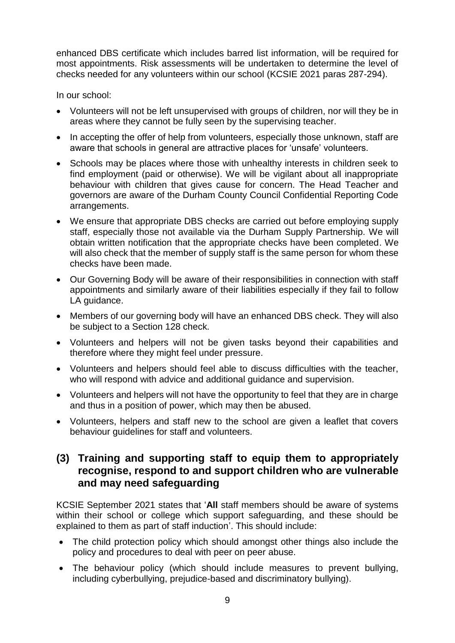enhanced DBS certificate which includes barred list information, will be required for most appointments. Risk assessments will be undertaken to determine the level of checks needed for any volunteers within our school (KCSIE 2021 paras 287-294).

In our school:

- Volunteers will not be left unsupervised with groups of children, nor will they be in areas where they cannot be fully seen by the supervising teacher.
- In accepting the offer of help from volunteers, especially those unknown, staff are aware that schools in general are attractive places for 'unsafe' volunteers.
- Schools may be places where those with unhealthy interests in children seek to find employment (paid or otherwise). We will be vigilant about all inappropriate behaviour with children that gives cause for concern. The Head Teacher and governors are aware of the Durham County Council Confidential Reporting Code arrangements.
- We ensure that appropriate DBS checks are carried out before employing supply staff, especially those not available via the Durham Supply Partnership. We will obtain written notification that the appropriate checks have been completed. We will also check that the member of supply staff is the same person for whom these checks have been made.
- Our Governing Body will be aware of their responsibilities in connection with staff appointments and similarly aware of their liabilities especially if they fail to follow LA guidance.
- Members of our governing body will have an enhanced DBS check. They will also be subject to a Section 128 check.
- Volunteers and helpers will not be given tasks beyond their capabilities and therefore where they might feel under pressure.
- Volunteers and helpers should feel able to discuss difficulties with the teacher, who will respond with advice and additional guidance and supervision.
- Volunteers and helpers will not have the opportunity to feel that they are in charge and thus in a position of power, which may then be abused.
- Volunteers, helpers and staff new to the school are given a leaflet that covers behaviour guidelines for staff and volunteers.

### **(3) Training and supporting staff to equip them to appropriately recognise, respond to and support children who are vulnerable and may need safeguarding**

KCSIE September 2021 states that '**All** staff members should be aware of systems within their school or college which support safeguarding, and these should be explained to them as part of staff induction'. This should include:

- The child protection policy which should amongst other things also include the policy and procedures to deal with peer on peer abuse.
- The behaviour policy (which should include measures to prevent bullying, including cyberbullying, prejudice-based and discriminatory bullying).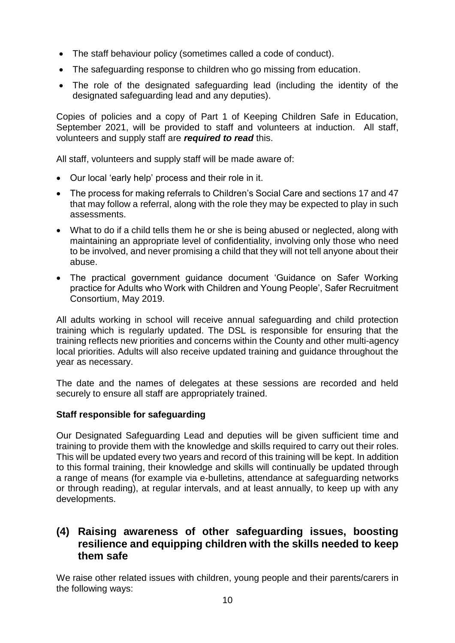- The staff behaviour policy (sometimes called a code of conduct).
- The safeguarding response to children who go missing from education.
- The role of the designated safeguarding lead (including the identity of the designated safeguarding lead and any deputies).

Copies of policies and a copy of Part 1 of Keeping Children Safe in Education, September 2021, will be provided to staff and volunteers at induction. All staff, volunteers and supply staff are *required to read* this.

All staff, volunteers and supply staff will be made aware of:

- Our local 'early help' process and their role in it.
- The process for making referrals to Children's Social Care and sections 17 and 47 that may follow a referral, along with the role they may be expected to play in such assessments.
- What to do if a child tells them he or she is being abused or neglected, along with maintaining an appropriate level of confidentiality, involving only those who need to be involved, and never promising a child that they will not tell anyone about their abuse.
- The practical government guidance document 'Guidance on Safer Working practice for Adults who Work with Children and Young People', Safer Recruitment Consortium, May 2019.

All adults working in school will receive annual safeguarding and child protection training which is regularly updated. The DSL is responsible for ensuring that the training reflects new priorities and concerns within the County and other multi-agency local priorities. Adults will also receive updated training and guidance throughout the year as necessary.

The date and the names of delegates at these sessions are recorded and held securely to ensure all staff are appropriately trained.

#### **Staff responsible for safeguarding**

Our Designated Safeguarding Lead and deputies will be given sufficient time and training to provide them with the knowledge and skills required to carry out their roles. This will be updated every two years and record of this training will be kept. In addition to this formal training, their knowledge and skills will continually be updated through a range of means (for example via e-bulletins, attendance at safeguarding networks or through reading), at regular intervals, and at least annually, to keep up with any developments.

### **(4) Raising awareness of other safeguarding issues, boosting resilience and equipping children with the skills needed to keep them safe**

We raise other related issues with children, young people and their parents/carers in the following ways: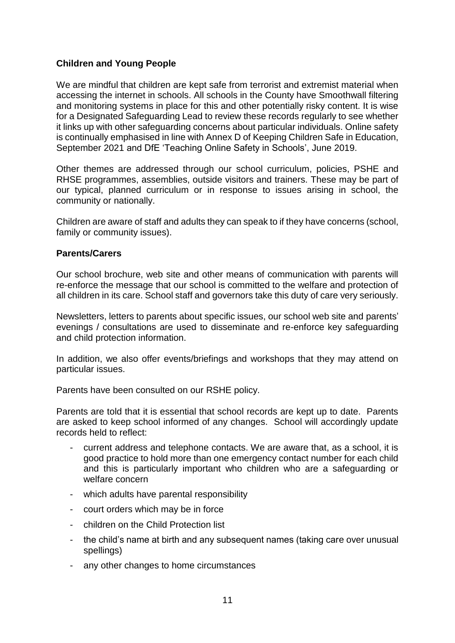#### **Children and Young People**

We are mindful that children are kept safe from terrorist and extremist material when accessing the internet in schools. All schools in the County have Smoothwall filtering and monitoring systems in place for this and other potentially risky content. It is wise for a Designated Safeguarding Lead to review these records regularly to see whether it links up with other safeguarding concerns about particular individuals. Online safety is continually emphasised in line with Annex D of Keeping Children Safe in Education, September 2021 and DfE 'Teaching Online Safety in Schools', June 2019.

Other themes are addressed through our school curriculum, policies, PSHE and RHSE programmes, assemblies, outside visitors and trainers. These may be part of our typical, planned curriculum or in response to issues arising in school, the community or nationally.

Children are aware of staff and adults they can speak to if they have concerns (school, family or community issues).

#### **Parents/Carers**

Our school brochure, web site and other means of communication with parents will re-enforce the message that our school is committed to the welfare and protection of all children in its care. School staff and governors take this duty of care very seriously.

Newsletters, letters to parents about specific issues, our school web site and parents' evenings / consultations are used to disseminate and re-enforce key safeguarding and child protection information.

In addition, we also offer events/briefings and workshops that they may attend on particular issues.

Parents have been consulted on our RSHE policy.

Parents are told that it is essential that school records are kept up to date. Parents are asked to keep school informed of any changes. School will accordingly update records held to reflect:

- current address and telephone contacts. We are aware that, as a school, it is good practice to hold more than one emergency contact number for each child and this is particularly important who children who are a safeguarding or welfare concern
- which adults have parental responsibility
- court orders which may be in force
- children on the Child Protection list
- the child's name at birth and any subsequent names (taking care over unusual spellings)
- any other changes to home circumstances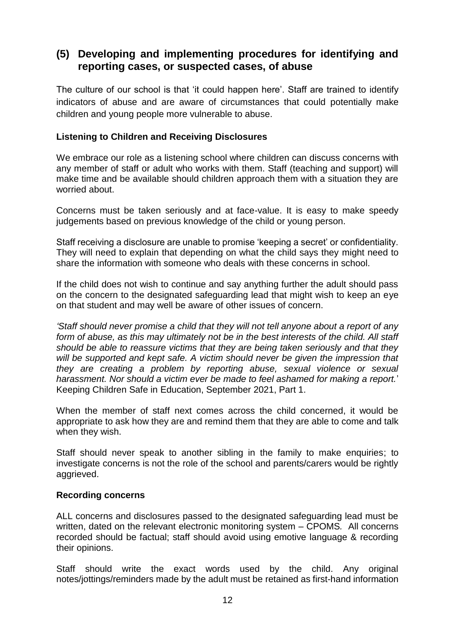### **(5) Developing and implementing procedures for identifying and reporting cases, or suspected cases, of abuse**

The culture of our school is that 'it could happen here'. Staff are trained to identify indicators of abuse and are aware of circumstances that could potentially make children and young people more vulnerable to abuse.

#### **Listening to Children and Receiving Disclosures**

We embrace our role as a listening school where children can discuss concerns with any member of staff or adult who works with them. Staff (teaching and support) will make time and be available should children approach them with a situation they are worried about.

Concerns must be taken seriously and at face-value. It is easy to make speedy judgements based on previous knowledge of the child or young person.

Staff receiving a disclosure are unable to promise 'keeping a secret' or confidentiality. They will need to explain that depending on what the child says they might need to share the information with someone who deals with these concerns in school.

If the child does not wish to continue and say anything further the adult should pass on the concern to the designated safeguarding lead that might wish to keep an eye on that student and may well be aware of other issues of concern.

*'Staff should never promise a child that they will not tell anyone about a report of any form of abuse, as this may ultimately not be in the best interests of the child. All staff should be able to reassure victims that they are being taken seriously and that they will be supported and kept safe. A victim should never be given the impression that they are creating a problem by reporting abuse, sexual violence or sexual harassment. Nor should a victim ever be made to feel ashamed for making a report.*' Keeping Children Safe in Education, September 2021, Part 1.

When the member of staff next comes across the child concerned, it would be appropriate to ask how they are and remind them that they are able to come and talk when they wish.

Staff should never speak to another sibling in the family to make enquiries; to investigate concerns is not the role of the school and parents/carers would be rightly aggrieved.

#### **Recording concerns**

ALL concerns and disclosures passed to the designated safeguarding lead must be written, dated on the relevant electronic monitoring system – CPOMS*.* All concerns recorded should be factual; staff should avoid using emotive language & recording their opinions.

Staff should write the exact words used by the child. Any original notes/jottings/reminders made by the adult must be retained as first-hand information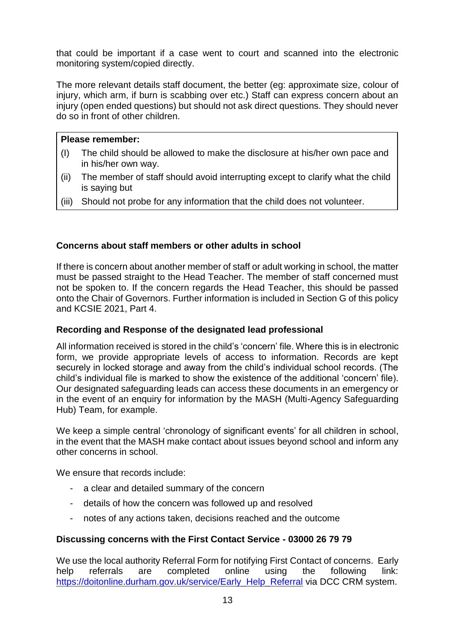that could be important if a case went to court and scanned into the electronic monitoring system/copied directly.

The more relevant details staff document, the better (eg: approximate size, colour of injury, which arm, if burn is scabbing over etc.) Staff can express concern about an injury (open ended questions) but should not ask direct questions. They should never do so in front of other children.

#### **Please remember:**

- (I) The child should be allowed to make the disclosure at his/her own pace and in his/her own way.
- (ii) The member of staff should avoid interrupting except to clarify what the child is saying but
- (iii) Should not probe for any information that the child does not volunteer.

#### **Concerns about staff members or other adults in school**

If there is concern about another member of staff or adult working in school, the matter must be passed straight to the Head Teacher. The member of staff concerned must not be spoken to. If the concern regards the Head Teacher, this should be passed onto the Chair of Governors. Further information is included in Section G of this policy and KCSIE 2021, Part 4.

#### **Recording and Response of the designated lead professional**

All information received is stored in the child's 'concern' file. Where this is in electronic form, we provide appropriate levels of access to information. Records are kept securely in locked storage and away from the child's individual school records. (The child's individual file is marked to show the existence of the additional 'concern' file). Our designated safeguarding leads can access these documents in an emergency or in the event of an enquiry for information by the MASH (Multi-Agency Safeguarding Hub) Team, for example.

We keep a simple central 'chronology of significant events' for all children in school, in the event that the MASH make contact about issues beyond school and inform any other concerns in school.

We ensure that records include:

- a clear and detailed summary of the concern
- details of how the concern was followed up and resolved
- notes of any actions taken, decisions reached and the outcome

#### **Discussing concerns with the First Contact Service - 03000 26 79 79**

We use the local authority Referral Form for notifying First Contact of concerns. Early help referrals are completed online using the following link: [https://doitonline.durham.gov.uk/service/Early\\_Help\\_Referral](https://doitonline.durham.gov.uk/service/Early_Help_Referral) via DCC CRM system.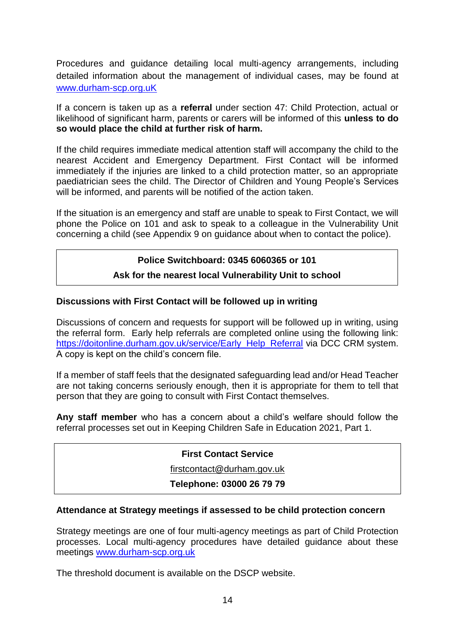Procedures and guidance detailing local multi-agency arrangements, including detailed information about the management of individual cases, may be found at [www.durham-scp.org.uK](http://www.durham-scp.org.uk/)

If a concern is taken up as a **referral** under section 47: Child Protection, actual or likelihood of significant harm, parents or carers will be informed of this **unless to do so would place the child at further risk of harm.**

If the child requires immediate medical attention staff will accompany the child to the nearest Accident and Emergency Department. First Contact will be informed immediately if the injuries are linked to a child protection matter, so an appropriate paediatrician sees the child. The Director of Children and Young People's Services will be informed, and parents will be notified of the action taken.

If the situation is an emergency and staff are unable to speak to First Contact, we will phone the Police on 101 and ask to speak to a colleague in the Vulnerability Unit concerning a child (see Appendix 9 on guidance about when to contact the police).

#### **Police Switchboard: 0345 6060365 or 101**

#### **Ask for the nearest local Vulnerability Unit to school**

#### **Discussions with First Contact will be followed up in writing**

Discussions of concern and requests for support will be followed up in writing, using the referral form. Early help referrals are completed online using the following link: [https://doitonline.durham.gov.uk/service/Early\\_Help\\_Referral](https://doitonline.durham.gov.uk/service/Early_Help_Referral) via DCC CRM system. A copy is kept on the child's concern file.

If a member of staff feels that the designated safeguarding lead and/or Head Teacher are not taking concerns seriously enough, then it is appropriate for them to tell that person that they are going to consult with First Contact themselves.

**Any staff member** who has a concern about a child's welfare should follow the referral processes set out in Keeping Children Safe in Education 2021, Part 1.

#### **First Contact Service**

[firstcontact@durham.gov.uk](mailto:firstcontact@durham.gov.uk)

#### **Telephone: 03000 26 79 79**

#### **Attendance at Strategy meetings if assessed to be child protection concern**

Strategy meetings are one of four multi-agency meetings as part of Child Protection processes. Local multi-agency procedures have detailed guidance about these meetings [www.durham-scp.org.uk](http://www.durham-scp.org.uk/)

The threshold document is available on the DSCP website.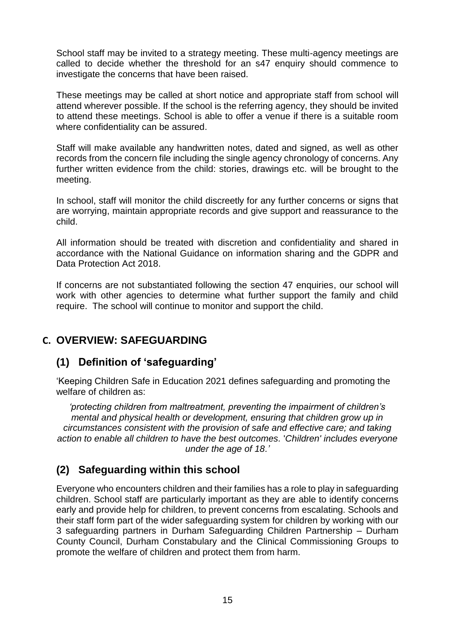School staff may be invited to a strategy meeting. These multi-agency meetings are called to decide whether the threshold for an s47 enquiry should commence to investigate the concerns that have been raised.

These meetings may be called at short notice and appropriate staff from school will attend wherever possible. If the school is the referring agency, they should be invited to attend these meetings. School is able to offer a venue if there is a suitable room where confidentiality can be assured.

Staff will make available any handwritten notes, dated and signed, as well as other records from the concern file including the single agency chronology of concerns. Any further written evidence from the child: stories, drawings etc. will be brought to the meeting.

In school, staff will monitor the child discreetly for any further concerns or signs that are worrying, maintain appropriate records and give support and reassurance to the child.

All information should be treated with discretion and confidentiality and shared in accordance with the National Guidance on information sharing and the GDPR and Data Protection Act 2018.

If concerns are not substantiated following the section 47 enquiries, our school will work with other agencies to determine what further support the family and child require. The school will continue to monitor and support the child.

### **C. OVERVIEW: SAFEGUARDING**

### **(1) Definition of 'safeguarding'**

'Keeping Children Safe in Education 2021 defines safeguarding and promoting the welfare of children as:

*'protecting children from maltreatment, preventing the impairment of children's mental and physical health or development, ensuring that children grow up in circumstances consistent with the provision of safe and effective care; and taking action to enable all children to have the best outcomes.* '*Children' includes everyone under the age of 18.'*

### **(2) Safeguarding within this school**

Everyone who encounters children and their families has a role to play in safeguarding children. School staff are particularly important as they are able to identify concerns early and provide help for children, to prevent concerns from escalating. Schools and their staff form part of the wider safeguarding system for children by working with our 3 safeguarding partners in Durham Safeguarding Children Partnership – Durham County Council, Durham Constabulary and the Clinical Commissioning Groups to promote the welfare of children and protect them from harm.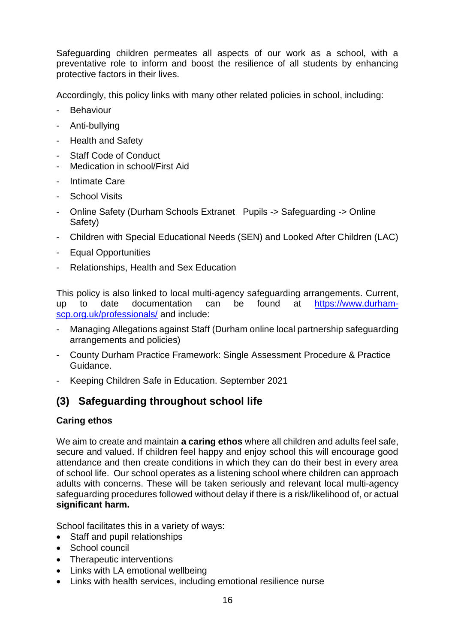Safeguarding children permeates all aspects of our work as a school, with a preventative role to inform and boost the resilience of all students by enhancing protective factors in their lives.

Accordingly, this policy links with many other related policies in school, including:

- Behaviour
- Anti-bullying
- Health and Safety
- Staff Code of Conduct
- Medication in school/First Aid
- Intimate Care
- School Visits
- Online Safety (Durham Schools Extranet Pupils -> Safeguarding -> Online Safety)
- Children with Special Educational Needs (SEN) and Looked After Children (LAC)
- Equal Opportunities
- Relationships, Health and Sex Education

This policy is also linked to local multi-agency safeguarding arrangements. Current, up to date documentation can be found at [https://www.durham](https://www.durham-scp.org.uk/professionals/)[scp.org.uk/professionals/](https://www.durham-scp.org.uk/professionals/) and include:

- Managing Allegations against Staff (Durham online local partnership safeguarding arrangements and policies)
- County Durham Practice Framework: Single Assessment Procedure & Practice Guidance.
- Keeping Children Safe in Education. September 2021

## **(3) Safeguarding throughout school life**

#### **Caring ethos**

We aim to create and maintain **a caring ethos** where all children and adults feel safe, secure and valued. If children feel happy and enjoy school this will encourage good attendance and then create conditions in which they can do their best in every area of school life. Our school operates as a listening school where children can approach adults with concerns. These will be taken seriously and relevant local multi-agency safeguarding procedures followed without delay if there is a risk/likelihood of, or actual **significant harm.**

School facilitates this in a variety of ways:

- Staff and pupil relationships
- School council
- Therapeutic interventions
- Links with LA emotional wellbeing
- Links with health services, including emotional resilience nurse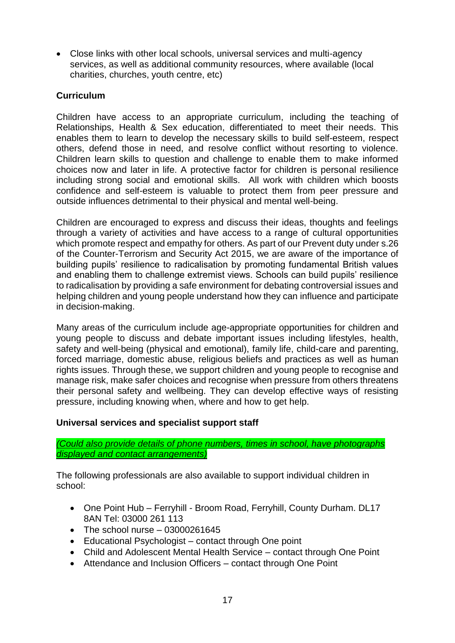• Close links with other local schools, universal services and multi-agency services, as well as additional community resources, where available (local charities, churches, youth centre, etc)

#### **Curriculum**

Children have access to an appropriate curriculum, including the teaching of Relationships, Health & Sex education, differentiated to meet their needs. This enables them to learn to develop the necessary skills to build self-esteem, respect others, defend those in need, and resolve conflict without resorting to violence. Children learn skills to question and challenge to enable them to make informed choices now and later in life. A protective factor for children is personal resilience including strong social and emotional skills. All work with children which boosts confidence and self-esteem is valuable to protect them from peer pressure and outside influences detrimental to their physical and mental well-being.

Children are encouraged to express and discuss their ideas, thoughts and feelings through a variety of activities and have access to a range of cultural opportunities which promote respect and empathy for others. As part of our Prevent duty under s.26 of the Counter-Terrorism and Security Act 2015, we are aware of the importance of building pupils' resilience to radicalisation by promoting fundamental British values and enabling them to challenge extremist views. Schools can build pupils' resilience to radicalisation by providing a safe environment for debating controversial issues and helping children and young people understand how they can influence and participate in decision-making.

Many areas of the curriculum include age-appropriate opportunities for children and young people to discuss and debate important issues including lifestyles, health, safety and well-being (physical and emotional), family life, child-care and parenting, forced marriage, domestic abuse, religious beliefs and practices as well as human rights issues. Through these, we support children and young people to recognise and manage risk, make safer choices and recognise when pressure from others threatens their personal safety and wellbeing. They can develop effective ways of resisting pressure, including knowing when, where and how to get help.

#### **Universal services and specialist support staff**

*(Could also provide details of phone numbers, times in school, have photographs displayed and contact arrangements)*

The following professionals are also available to support individual children in school:

- One Point Hub Ferryhill Broom Road, Ferryhill, County Durham. DL17 8AN Tel: 03000 261 113
- The school nurse  $-03000261645$
- Educational Psychologist contact through One point
- Child and Adolescent Mental Health Service contact through One Point
- Attendance and Inclusion Officers contact through One Point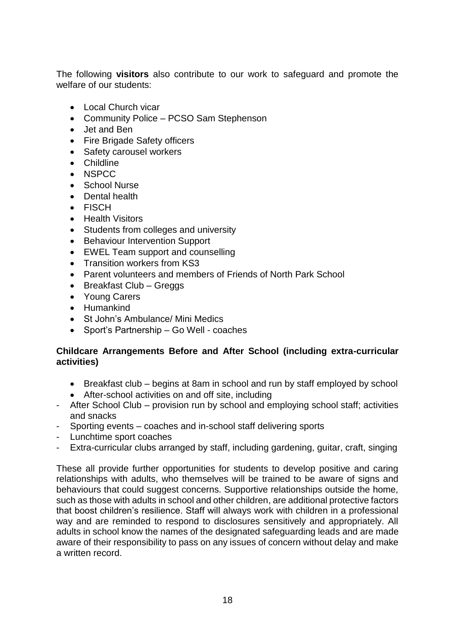The following **visitors** also contribute to our work to safeguard and promote the welfare of our students:

- Local Church vicar
- Community Police PCSO Sam Stephenson
- Jet and Ben
- Fire Brigade Safety officers
- Safety carousel workers
- Childline
- NSPCC
- School Nurse
- Dental health
- FISCH
- Health Visitors
- Students from colleges and university
- Behaviour Intervention Support
- EWEL Team support and counselling
- Transition workers from KS3
- Parent volunteers and members of Friends of North Park School
- Breakfast Club Greggs
- Young Carers
- Humankind
- St John's Ambulance/ Mini Medics
- Sport's Partnership Go Well coaches

#### **Childcare Arrangements Before and After School (including extra-curricular activities)**

- Breakfast club begins at 8am in school and run by staff employed by school
- After-school activities on and off site, including
- After School Club provision run by school and employing school staff; activities and snacks
- Sporting events coaches and in-school staff delivering sports
- Lunchtime sport coaches
- Extra-curricular clubs arranged by staff, including gardening, guitar, craft, singing

These all provide further opportunities for students to develop positive and caring relationships with adults, who themselves will be trained to be aware of signs and behaviours that could suggest concerns. Supportive relationships outside the home, such as those with adults in school and other children, are additional protective factors that boost children's resilience. Staff will always work with children in a professional way and are reminded to respond to disclosures sensitively and appropriately. All adults in school know the names of the designated safeguarding leads and are made aware of their responsibility to pass on any issues of concern without delay and make a written record.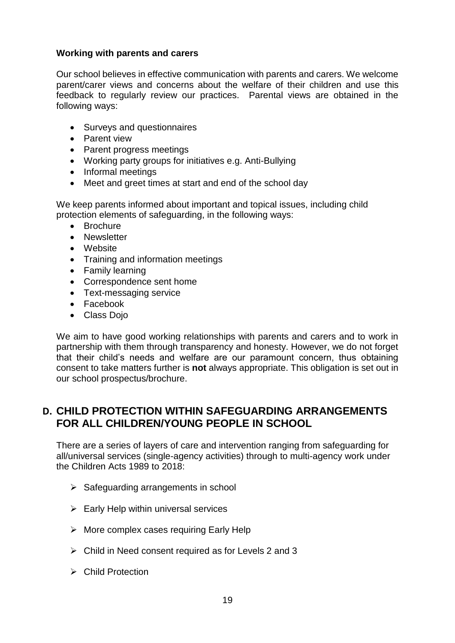#### **Working with parents and carers**

Our school believes in effective communication with parents and carers. We welcome parent/carer views and concerns about the welfare of their children and use this feedback to regularly review our practices. Parental views are obtained in the following ways:

- Surveys and questionnaires
- Parent view
- Parent progress meetings
- Working party groups for initiatives e.g. Anti-Bullying
- Informal meetings
- Meet and greet times at start and end of the school day

We keep parents informed about important and topical issues, including child protection elements of safeguarding, in the following ways:

- Brochure
- Newsletter
- Website
- Training and information meetings
- Family learning
- Correspondence sent home
- Text-messaging service
- Facebook
- Class Doio

We aim to have good working relationships with parents and carers and to work in partnership with them through transparency and honesty. However, we do not forget that their child's needs and welfare are our paramount concern, thus obtaining consent to take matters further is **not** always appropriate. This obligation is set out in our school prospectus/brochure.

### **D. CHILD PROTECTION WITHIN SAFEGUARDING ARRANGEMENTS FOR ALL CHILDREN/YOUNG PEOPLE IN SCHOOL**

There are a series of layers of care and intervention ranging from safeguarding for all/universal services (single-agency activities) through to multi-agency work under the Children Acts 1989 to 2018:

- $\triangleright$  Safeguarding arrangements in school
- $\triangleright$  Early Help within universal services
- $\triangleright$  More complex cases requiring Early Help
- $\triangleright$  Child in Need consent required as for Levels 2 and 3
- ➢ Child Protection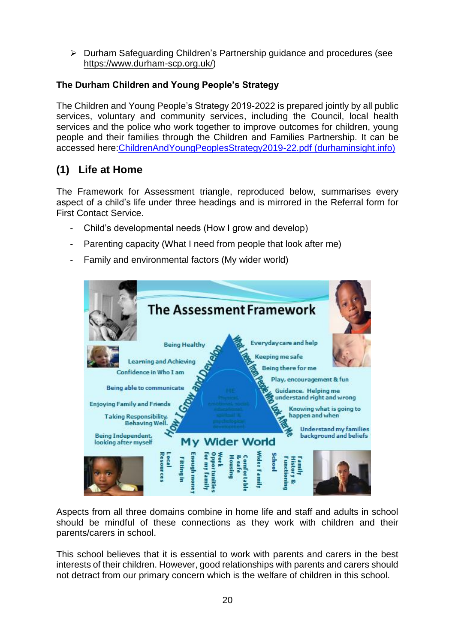➢ Durham Safeguarding Children's Partnership guidance and procedures (see [https://www.durham-scp.org.uk/\)](https://www.durham-scp.org.uk/)

#### **The Durham Children and Young People's Strategy**

The Children and Young People's Strategy 2019-2022 is prepared jointly by all public services, voluntary and community services, including the Council, local health services and the police who work together to improve outcomes for children, young people and their families through the Children and Families Partnership. It can be accessed here[:ChildrenAndYoungPeoplesStrategy2019-22.pdf \(durhaminsight.info\)](https://www.durhaminsight.info/wp-content/uploads/2019/06/ChildrenAndYoungPeoplesStrategy2019-22.pdf)

## **(1) Life at Home**

The Framework for Assessment triangle, reproduced below, summarises every aspect of a child's life under three headings and is mirrored in the Referral form for First Contact Service.

- Child's developmental needs (How I grow and develop)
- Parenting capacity (What I need from people that look after me)
- Family and environmental factors (My wider world)



Aspects from all three domains combine in home life and staff and adults in school should be mindful of these connections as they work with children and their parents/carers in school.

This school believes that it is essential to work with parents and carers in the best interests of their children. However, good relationships with parents and carers should not detract from our primary concern which is the welfare of children in this school.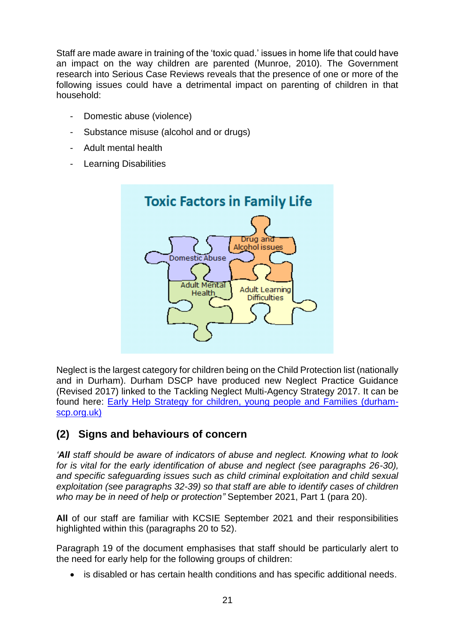Staff are made aware in training of the 'toxic quad.' issues in home life that could have an impact on the way children are parented (Munroe, 2010). The Government research into Serious Case Reviews reveals that the presence of one or more of the following issues could have a detrimental impact on parenting of children in that household:

- Domestic abuse (violence)
- Substance misuse (alcohol and or drugs)
- Adult mental health
- Learning Disabilities



Neglect is the largest category for children being on the Child Protection list (nationally and in Durham). Durham DSCP have produced new Neglect Practice Guidance (Revised 2017) linked to the Tackling Neglect Multi-Agency Strategy 2017. It can be found here: [Early Help Strategy for children, young people and Families \(durham](https://durham-scp.org.uk/wp-content/uploads/2016/06/1458036245-Neglect-Practice-Guidance-2016-Final.pdf)[scp.org.uk\)](https://durham-scp.org.uk/wp-content/uploads/2016/06/1458036245-Neglect-Practice-Guidance-2016-Final.pdf)

## **(2) Signs and behaviours of concern**

*'All staff should be aware of indicators of abuse and neglect. Knowing what to look for is vital for the early identification of abuse and neglect (see paragraphs 26-30), and specific safeguarding issues such as child criminal exploitation and child sexual exploitation (see paragraphs 32-39) so that staff are able to identify cases of children who may be in need of help or protection"* September 2021, Part 1 (para 20).

**All** of our staff are familiar with KCSIE September 2021 and their responsibilities highlighted within this (paragraphs 20 to 52).

Paragraph 19 of the document emphasises that staff should be particularly alert to the need for early help for the following groups of children:

• is disabled or has certain health conditions and has specific additional needs.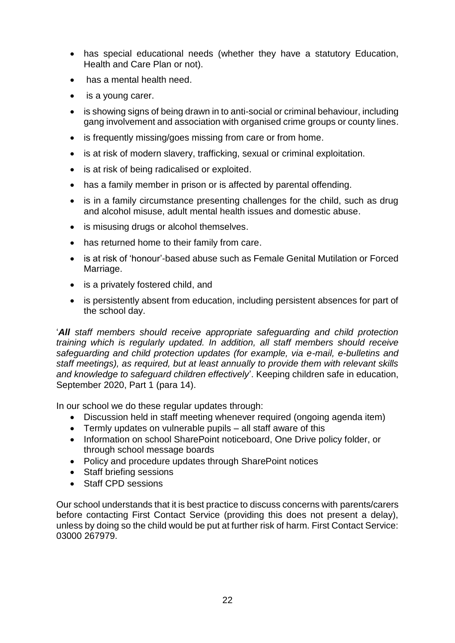- has special educational needs (whether they have a statutory Education, Health and Care Plan or not).
- has a mental health need.
- is a young carer.
- is showing signs of being drawn in to anti-social or criminal behaviour, including gang involvement and association with organised crime groups or county lines.
- is frequently missing/goes missing from care or from home.
- is at risk of modern slavery, trafficking, sexual or criminal exploitation.
- is at risk of being radicalised or exploited.
- has a family member in prison or is affected by parental offending.
- is in a family circumstance presenting challenges for the child, such as drug and alcohol misuse, adult mental health issues and domestic abuse.
- is misusing drugs or alcohol themselves.
- has returned home to their family from care.
- is at risk of 'honour'-based abuse such as Female Genital Mutilation or Forced Marriage.
- is a privately fostered child, and
- is persistently absent from education, including persistent absences for part of the school day.

'*All staff members should receive appropriate safeguarding and child protection training which is regularly updated. In addition, all staff members should receive safeguarding and child protection updates (for example, via e-mail, e-bulletins and staff meetings), as required, but at least annually to provide them with relevant skills and knowledge to safeguard children effectively*'. Keeping children safe in education, September 2020, Part 1 (para 14).

In our school we do these regular updates through:

- Discussion held in staff meeting whenever required (ongoing agenda item)
- Termly updates on vulnerable pupils all staff aware of this
- Information on school SharePoint noticeboard, One Drive policy folder, or through school message boards
- Policy and procedure updates through SharePoint notices
- Staff briefing sessions
- Staff CPD sessions

Our school understands that it is best practice to discuss concerns with parents/carers before contacting First Contact Service (providing this does not present a delay), unless by doing so the child would be put at further risk of harm. First Contact Service: 03000 267979.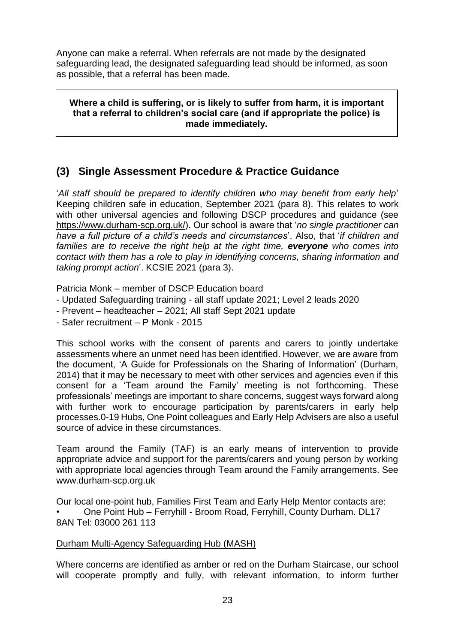Anyone can make a referral. When referrals are not made by the designated safeguarding lead, the designated safeguarding lead should be informed, as soon as possible, that a referral has been made.

**Where a child is suffering, or is likely to suffer from harm, it is important that a referral to children's social care (and if appropriate the police) is made immediately.**

## **(3) Single Assessment Procedure & Practice Guidance**

'*All staff should be prepared to identify children who may benefit from early help*' Keeping children safe in education, September 2021 (para 8). This relates to work with other universal agencies and following DSCP procedures and guidance (see [https://www.durham-scp.org.uk/\)](https://www.durham-scp.org.uk/). Our school is aware that '*no single practitioner can have a full picture of a child's needs and circumstances*'. Also, that '*if children and families are to receive the right help at the right time, everyone who comes into contact with them has a role to play in identifying concerns, sharing information and taking prompt action*'. KCSIE 2021 (para 3).

Patricia Monk – member of DSCP Education board

- Updated Safeguarding training all staff update 2021; Level 2 leads 2020
- Prevent headteacher 2021; All staff Sept 2021 update
- Safer recruitment P Monk 2015

This school works with the consent of parents and carers to jointly undertake assessments where an unmet need has been identified. However, we are aware from the document, 'A Guide for Professionals on the Sharing of Information' (Durham, 2014) that it may be necessary to meet with other services and agencies even if this consent for a 'Team around the Family' meeting is not forthcoming. These professionals' meetings are important to share concerns, suggest ways forward along with further work to encourage participation by parents/carers in early help processes.0-19 Hubs, One Point colleagues and Early Help Advisers are also a useful source of advice in these circumstances.

Team around the Family (TAF) is an early means of intervention to provide appropriate advice and support for the parents/carers and young person by working with appropriate local agencies through Team around the Family arrangements. See www.durham-scp.org.uk

Our local one-point hub, Families First Team and Early Help Mentor contacts are: • One Point Hub – Ferryhill - Broom Road, Ferryhill, County Durham. DL17 8AN Tel: 03000 261 113

#### Durham Multi-Agency Safeguarding Hub (MASH)

Where concerns are identified as amber or red on the Durham Staircase, our school will cooperate promptly and fully, with relevant information, to inform further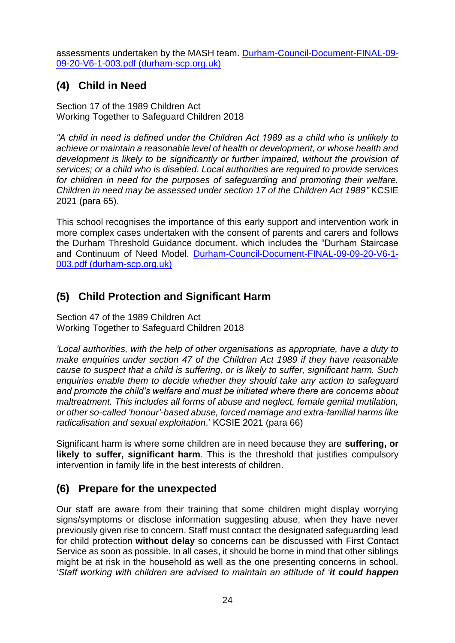assessments undertaken by the MASH team. [Durham-Council-Document-FINAL-09-](https://durham-scp.org.uk/wp-content/uploads/2020/09/Durham-Council-Document-FINAL-09-09-20-V6-1-003.pdf) [09-20-V6-1-003.pdf \(durham-scp.org.uk\)](https://durham-scp.org.uk/wp-content/uploads/2020/09/Durham-Council-Document-FINAL-09-09-20-V6-1-003.pdf)

## **(4) Child in Need**

Section 17 of the 1989 Children Act Working Together to Safeguard Children 2018

*"A child in need is defined under the Children Act 1989 as a child who is unlikely to achieve or maintain a reasonable level of health or development, or whose health and development is likely to be significantly or further impaired, without the provision of services; or a child who is disabled. Local authorities are required to provide services for children in need for the purposes of safeguarding and promoting their welfare. Children in need may be assessed under section 17 of the Children Act 1989"* KCSIE 2021 (para 65).

This school recognises the importance of this early support and intervention work in more complex cases undertaken with the consent of parents and carers and follows the Durham Threshold Guidance document, which includes the "Durham Staircase and Continuum of Need Model. [Durham-Council-Document-FINAL-09-09-20-V6-1-](https://durham-scp.org.uk/wp-content/uploads/2020/09/Durham-Council-Document-FINAL-09-09-20-V6-1-003.pdf) [003.pdf \(durham-scp.org.uk\)](https://durham-scp.org.uk/wp-content/uploads/2020/09/Durham-Council-Document-FINAL-09-09-20-V6-1-003.pdf)

## **(5) Child Protection and Significant Harm**

Section 47 of the 1989 Children Act Working Together to Safeguard Children 2018

*'Local authorities, with the help of other organisations as appropriate, have a duty to make enquiries under section 47 of the Children Act 1989 if they have reasonable cause to suspect that a child is suffering, or is likely to suffer, significant harm. Such enquiries enable them to decide whether they should take any action to safeguard and promote the child's welfare and must be initiated where there are concerns about maltreatment. This includes all forms of abuse and neglect, female genital mutilation, or other so-called 'honour'-based abuse, forced marriage and extra-familial harms like radicalisation and sexual exploitation*.' KCSIE 2021 (para 66)

Significant harm is where some children are in need because they are **suffering, or likely to suffer, significant harm**. This is the threshold that justifies compulsory intervention in family life in the best interests of children.

## **(6) Prepare for the unexpected**

Our staff are aware from their training that some children might display worrying signs/symptoms or disclose information suggesting abuse, when they have never previously given rise to concern. Staff must contact the designated safeguarding lead for child protection **without delay** so concerns can be discussed with First Contact Service as soon as possible. In all cases, it should be borne in mind that other siblings might be at risk in the household as well as the one presenting concerns in school. '*Staff working with children are advised to maintain an attitude of 'it could happen*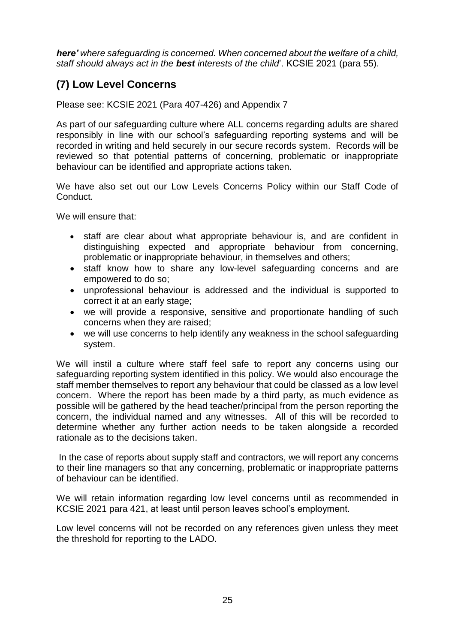*here' where safeguarding is concerned. When concerned about the welfare of a child, staff should always act in the best interests of the child*'. KCSIE 2021 (para 55).

## **(7) Low Level Concerns**

Please see: KCSIE 2021 (Para 407-426) and Appendix 7

As part of our safeguarding culture where ALL concerns regarding adults are shared responsibly in line with our school's safeguarding reporting systems and will be recorded in writing and held securely in our secure records system. Records will be reviewed so that potential patterns of concerning, problematic or inappropriate behaviour can be identified and appropriate actions taken.

We have also set out our Low Levels Concerns Policy within our Staff Code of Conduct.

We will ensure that:

- staff are clear about what appropriate behaviour is, and are confident in distinguishing expected and appropriate behaviour from concerning, problematic or inappropriate behaviour, in themselves and others;
- staff know how to share any low-level safeguarding concerns and are empowered to do so;
- unprofessional behaviour is addressed and the individual is supported to correct it at an early stage;
- we will provide a responsive, sensitive and proportionate handling of such concerns when they are raised;
- we will use concerns to help identify any weakness in the school safeguarding system.

We will instil a culture where staff feel safe to report any concerns using our safeguarding reporting system identified in this policy. We would also encourage the staff member themselves to report any behaviour that could be classed as a low level concern. Where the report has been made by a third party, as much evidence as possible will be gathered by the head teacher/principal from the person reporting the concern, the individual named and any witnesses. All of this will be recorded to determine whether any further action needs to be taken alongside a recorded rationale as to the decisions taken.

In the case of reports about supply staff and contractors, we will report any concerns to their line managers so that any concerning, problematic or inappropriate patterns of behaviour can be identified.

We will retain information regarding low level concerns until as recommended in KCSIE 2021 para 421, at least until person leaves school's employment.

Low level concerns will not be recorded on any references given unless they meet the threshold for reporting to the LADO.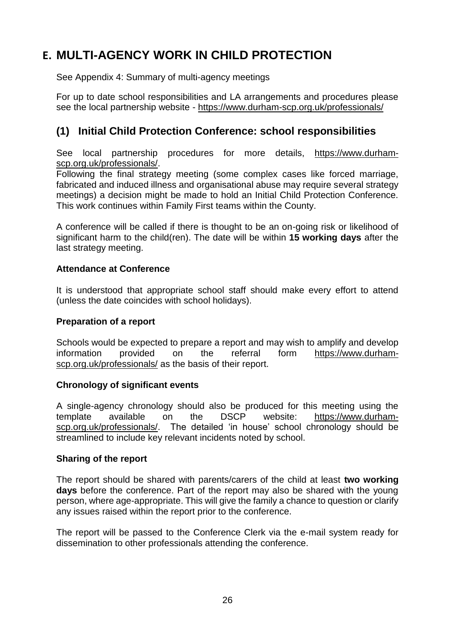# **E. MULTI-AGENCY WORK IN CHILD PROTECTION**

See Appendix 4: Summary of multi-agency meetings

For up to date school responsibilities and LA arrangements and procedures please see the local partnership website - <https://www.durham-scp.org.uk/professionals/>

## **(1) Initial Child Protection Conference: school responsibilities**

See local partnership procedures for more details, [https://www.durham](https://www.durham-scp.org.uk/professionals/)[scp.org.uk/professionals/.](https://www.durham-scp.org.uk/professionals/)

Following the final strategy meeting (some complex cases like forced marriage, fabricated and induced illness and organisational abuse may require several strategy meetings) a decision might be made to hold an Initial Child Protection Conference. This work continues within Family First teams within the County.

A conference will be called if there is thought to be an on-going risk or likelihood of significant harm to the child(ren). The date will be within **15 working days** after the last strategy meeting.

#### **Attendance at Conference**

It is understood that appropriate school staff should make every effort to attend (unless the date coincides with school holidays).

#### **Preparation of a report**

Schools would be expected to prepare a report and may wish to amplify and develop information provided on the referral form [https://www.durham](https://www.durham-scp.org.uk/professionals/)[scp.org.uk/professionals/](https://www.durham-scp.org.uk/professionals/) as the basis of their report.

#### **Chronology of significant events**

A single-agency chronology should also be produced for this meeting using the template available on the DSCP website: [https://www.durham](https://www.durham-scp.org.uk/professionals/)[scp.org.uk/professionals/.](https://www.durham-scp.org.uk/professionals/) The detailed 'in house' school chronology should be streamlined to include key relevant incidents noted by school.

#### **Sharing of the report**

The report should be shared with parents/carers of the child at least **two working days** before the conference. Part of the report may also be shared with the young person, where age-appropriate. This will give the family a chance to question or clarify any issues raised within the report prior to the conference.

The report will be passed to the Conference Clerk via the e-mail system ready for dissemination to other professionals attending the conference.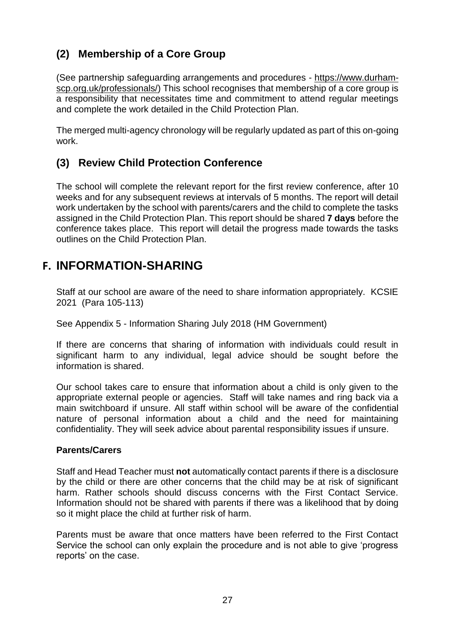## **(2) Membership of a Core Group**

(See partnership safeguarding arrangements and procedures - [https://www.durham](https://www.durham-scp.org.uk/professionals/)[scp.org.uk/professionals/\)](https://www.durham-scp.org.uk/professionals/) This school recognises that membership of a core group is a responsibility that necessitates time and commitment to attend regular meetings and complete the work detailed in the Child Protection Plan.

The merged multi-agency chronology will be regularly updated as part of this on-going work.

### **(3) Review Child Protection Conference**

The school will complete the relevant report for the first review conference, after 10 weeks and for any subsequent reviews at intervals of 5 months. The report will detail work undertaken by the school with parents/carers and the child to complete the tasks assigned in the Child Protection Plan. This report should be shared **7 days** before the conference takes place. This report will detail the progress made towards the tasks outlines on the Child Protection Plan.

## **F. INFORMATION-SHARING**

Staff at our school are aware of the need to share information appropriately. KCSIE 2021 (Para 105-113)

See Appendix 5 - Information Sharing July 2018 (HM Government)

If there are concerns that sharing of information with individuals could result in significant harm to any individual, legal advice should be sought before the information is shared.

Our school takes care to ensure that information about a child is only given to the appropriate external people or agencies. Staff will take names and ring back via a main switchboard if unsure. All staff within school will be aware of the confidential nature of personal information about a child and the need for maintaining confidentiality. They will seek advice about parental responsibility issues if unsure.

#### **Parents/Carers**

Staff and Head Teacher must **not** automatically contact parents if there is a disclosure by the child or there are other concerns that the child may be at risk of significant harm. Rather schools should discuss concerns with the First Contact Service. Information should not be shared with parents if there was a likelihood that by doing so it might place the child at further risk of harm.

Parents must be aware that once matters have been referred to the First Contact Service the school can only explain the procedure and is not able to give 'progress reports' on the case.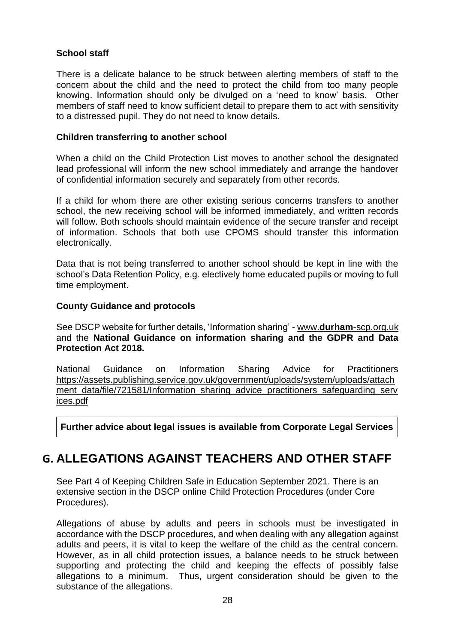#### **School staff**

There is a delicate balance to be struck between alerting members of staff to the concern about the child and the need to protect the child from too many people knowing. Information should only be divulged on a 'need to know' basis. Other members of staff need to know sufficient detail to prepare them to act with sensitivity to a distressed pupil. They do not need to know details.

#### **Children transferring to another school**

When a child on the Child Protection List moves to another school the designated lead professional will inform the new school immediately and arrange the handover of confidential information securely and separately from other records.

If a child for whom there are other existing serious concerns transfers to another school, the new receiving school will be informed immediately, and written records will follow. Both schools should maintain evidence of the secure transfer and receipt of information. Schools that both use CPOMS should transfer this information electronically.

Data that is not being transferred to another school should be kept in line with the school's Data Retention Policy, e.g. electively home educated pupils or moving to full time employment.

#### **County Guidance and protocols**

See DSCP website for further details, 'Information sharing' - www.**durham**[-scp.org.uk](http://www.durham-scp.org.uk/) and the **National Guidance on information sharing and the GDPR and Data Protection Act 2018.**

National Guidance on Information Sharing Advice for Practitioners [https://assets.publishing.service.gov.uk/government/uploads/system/uploads/attach](https://assets.publishing.service.gov.uk/government/uploads/system/uploads/attachment_data/file/721581/Information_sharing_advice_practitioners_safeguarding_services.pdf) ment data/file/721581/Information sharing advice practitioners safeguarding serv [ices.pdf](https://assets.publishing.service.gov.uk/government/uploads/system/uploads/attachment_data/file/721581/Information_sharing_advice_practitioners_safeguarding_services.pdf)

**Further advice about legal issues is available from Corporate Legal Services** 

## **G. ALLEGATIONS AGAINST TEACHERS AND OTHER STAFF**

See Part 4 of Keeping Children Safe in Education September 2021. There is an extensive section in the DSCP online Child Protection Procedures (under Core Procedures).

Allegations of abuse by adults and peers in schools must be investigated in accordance with the DSCP procedures, and when dealing with any allegation against adults and peers, it is vital to keep the welfare of the child as the central concern. However, as in all child protection issues, a balance needs to be struck between supporting and protecting the child and keeping the effects of possibly false allegations to a minimum. Thus, urgent consideration should be given to the substance of the allegations.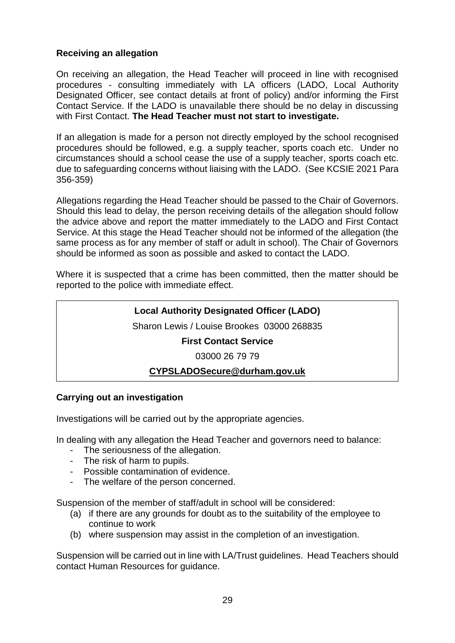#### **Receiving an allegation**

On receiving an allegation, the Head Teacher will proceed in line with recognised procedures - consulting immediately with LA officers (LADO, Local Authority Designated Officer, see contact details at front of policy) and/or informing the First Contact Service. If the LADO is unavailable there should be no delay in discussing with First Contact. **The Head Teacher must not start to investigate.**

If an allegation is made for a person not directly employed by the school recognised procedures should be followed, e.g. a supply teacher, sports coach etc. Under no circumstances should a school cease the use of a supply teacher, sports coach etc. due to safeguarding concerns without liaising with the LADO. (See KCSIE 2021 Para 356-359)

Allegations regarding the Head Teacher should be passed to the Chair of Governors. Should this lead to delay, the person receiving details of the allegation should follow the advice above and report the matter immediately to the LADO and First Contact Service. At this stage the Head Teacher should not be informed of the allegation (the same process as for any member of staff or adult in school). The Chair of Governors should be informed as soon as possible and asked to contact the LADO.

Where it is suspected that a crime has been committed, then the matter should be reported to the police with immediate effect.

#### **Local Authority Designated Officer (LADO)**

Sharon Lewis / Louise Brookes 03000 268835

#### **First Contact Service**

03000 26 79 79

#### **[CYPSLADOSecure@durham.gov.uk](mailto:CYPSLADOSecure@durham.gov.uk)**

#### **Carrying out an investigation**

Investigations will be carried out by the appropriate agencies.

In dealing with any allegation the Head Teacher and governors need to balance:

- The seriousness of the allegation.
- The risk of harm to pupils.
- Possible contamination of evidence.
- The welfare of the person concerned.

Suspension of the member of staff/adult in school will be considered:

- (a) if there are any grounds for doubt as to the suitability of the employee to continue to work
- (b) where suspension may assist in the completion of an investigation.

Suspension will be carried out in line with LA/Trust guidelines. Head Teachers should contact Human Resources for guidance.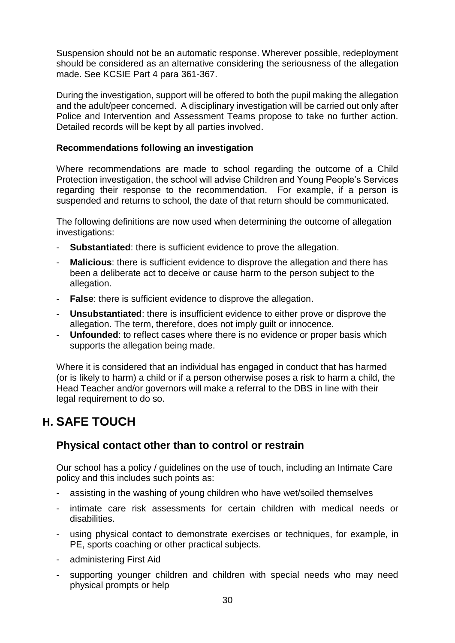Suspension should not be an automatic response. Wherever possible, redeployment should be considered as an alternative considering the seriousness of the allegation made. See KCSIE Part 4 para 361-367.

During the investigation, support will be offered to both the pupil making the allegation and the adult/peer concerned. A disciplinary investigation will be carried out only after Police and Intervention and Assessment Teams propose to take no further action. Detailed records will be kept by all parties involved.

#### **Recommendations following an investigation**

Where recommendations are made to school regarding the outcome of a Child Protection investigation, the school will advise Children and Young People's Services regarding their response to the recommendation. For example, if a person is suspended and returns to school, the date of that return should be communicated.

The following definitions are now used when determining the outcome of allegation investigations:

- **Substantiated**: there is sufficient evidence to prove the allegation.
- **Malicious**: there is sufficient evidence to disprove the allegation and there has been a deliberate act to deceive or cause harm to the person subject to the allegation.
- **False**: there is sufficient evidence to disprove the allegation.
- **Unsubstantiated**: there is insufficient evidence to either prove or disprove the allegation. The term, therefore, does not imply guilt or innocence.
- **Unfounded**: to reflect cases where there is no evidence or proper basis which supports the allegation being made.

Where it is considered that an individual has engaged in conduct that has harmed (or is likely to harm) a child or if a person otherwise poses a risk to harm a child, the Head Teacher and/or governors will make a referral to the DBS in line with their legal requirement to do so.

## **H. SAFE TOUCH**

### **Physical contact other than to control or restrain**

Our school has a policy / guidelines on the use of touch, including an Intimate Care policy and this includes such points as:

- assisting in the washing of young children who have wet/soiled themselves
- intimate care risk assessments for certain children with medical needs or disabilities.
- using physical contact to demonstrate exercises or techniques, for example, in PE, sports coaching or other practical subjects.
- administering First Aid
- supporting younger children and children with special needs who may need physical prompts or help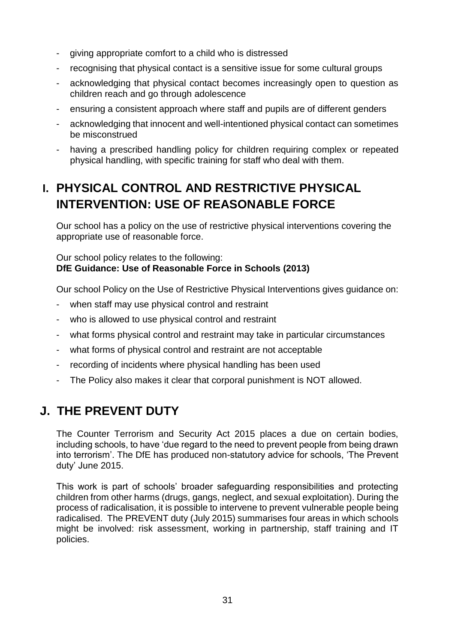- giving appropriate comfort to a child who is distressed
- recognising that physical contact is a sensitive issue for some cultural groups
- acknowledging that physical contact becomes increasingly open to question as children reach and go through adolescence
- ensuring a consistent approach where staff and pupils are of different genders
- acknowledging that innocent and well-intentioned physical contact can sometimes be misconstrued
- having a prescribed handling policy for children requiring complex or repeated physical handling, with specific training for staff who deal with them.

# **I. PHYSICAL CONTROL AND RESTRICTIVE PHYSICAL INTERVENTION: USE OF REASONABLE FORCE**

Our school has a policy on the use of restrictive physical interventions covering the appropriate use of reasonable force.

Our school policy relates to the following: **DfE Guidance: Use of Reasonable Force in Schools (2013)**

Our school Policy on the Use of Restrictive Physical Interventions gives guidance on:

- when staff may use physical control and restraint
- who is allowed to use physical control and restraint
- what forms physical control and restraint may take in particular circumstances
- what forms of physical control and restraint are not acceptable
- recording of incidents where physical handling has been used
- The Policy also makes it clear that corporal punishment is NOT allowed.

# **J. THE PREVENT DUTY**

The Counter Terrorism and Security Act 2015 places a due on certain bodies, including schools, to have 'due regard to the need to prevent people from being drawn into terrorism'. The DfE has produced non-statutory advice for schools, 'The Prevent duty' June 2015.

This work is part of schools' broader safeguarding responsibilities and protecting children from other harms (drugs, gangs, neglect, and sexual exploitation). During the process of radicalisation, it is possible to intervene to prevent vulnerable people being radicalised. The PREVENT duty (July 2015) summarises four areas in which schools might be involved: risk assessment, working in partnership, staff training and IT policies.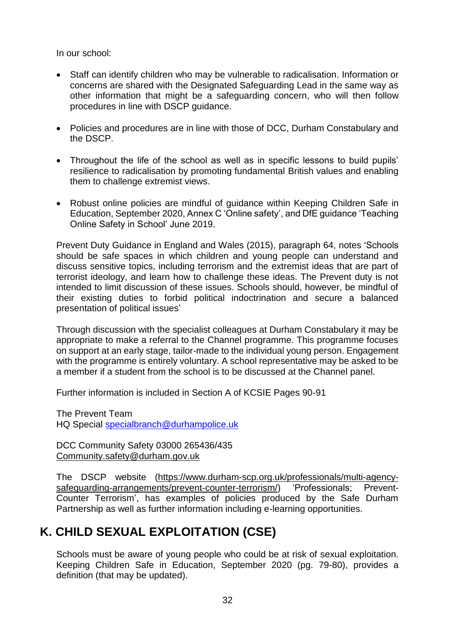In our school:

- Staff can identify children who may be vulnerable to radicalisation. Information or concerns are shared with the Designated Safeguarding Lead in the same way as other information that might be a safeguarding concern, who will then follow procedures in line with DSCP guidance.
- Policies and procedures are in line with those of DCC, Durham Constabulary and the DSCP.
- Throughout the life of the school as well as in specific lessons to build pupils' resilience to radicalisation by promoting fundamental British values and enabling them to challenge extremist views.
- Robust online policies are mindful of guidance within Keeping Children Safe in Education, September 2020, Annex C 'Online safety', and DfE guidance 'Teaching Online Safety in School' June 2019.

Prevent Duty Guidance in England and Wales (2015), paragraph 64, notes 'Schools should be safe spaces in which children and young people can understand and discuss sensitive topics, including terrorism and the extremist ideas that are part of terrorist ideology, and learn how to challenge these ideas. The Prevent duty is not intended to limit discussion of these issues. Schools should, however, be mindful of their existing duties to forbid political indoctrination and secure a balanced presentation of political issues'

Through discussion with the specialist colleagues at Durham Constabulary it may be appropriate to make a referral to the Channel programme. This programme focuses on support at an early stage, tailor-made to the individual young person. Engagement with the programme is entirely voluntary. A school representative may be asked to be a member if a student from the school is to be discussed at the Channel panel.

Further information is included in Section A of KCSIE Pages 90-91

The Prevent Team HQ Special [specialbranch@durhampolice.uk](mailto:specialbranch@durhampolice.uk)

DCC Community Safety 03000 265436/435 [Community.safety@durham.gov.uk](mailto:Community.safety@durham.gov.uk)

The DSCP website [\(https://www.durham-scp.org.uk/professionals/multi-agency](https://www.durham-scp.org.uk/professionals/multi-agency-safeguarding-arrangements/prevent-counter-terrorism/)[safeguarding-arrangements/prevent-counter-terrorism/\)](https://www.durham-scp.org.uk/professionals/multi-agency-safeguarding-arrangements/prevent-counter-terrorism/) 'Professionals; Prevent-Counter Terrorism', has examples of policies produced by the Safe Durham Partnership as well as further information including e-learning opportunities.

## **K. CHILD SEXUAL EXPLOITATION (CSE)**

Schools must be aware of young people who could be at risk of sexual exploitation. Keeping Children Safe in Education, September 2020 (pg. 79-80), provides a definition (that may be updated).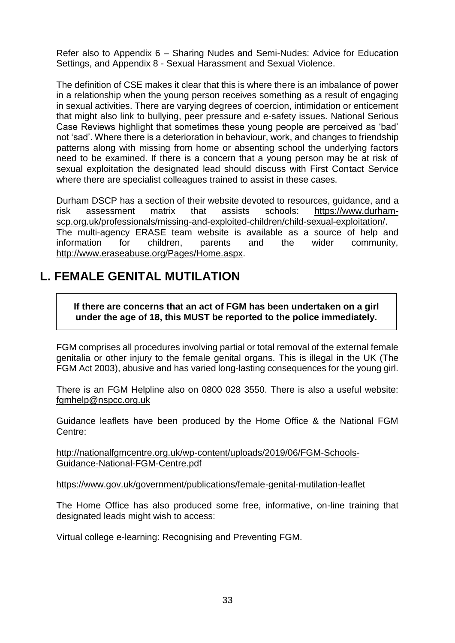Refer also to Appendix 6 – Sharing Nudes and Semi-Nudes: Advice for Education Settings, and Appendix 8 - Sexual Harassment and Sexual Violence.

The definition of CSE makes it clear that this is where there is an imbalance of power in a relationship when the young person receives something as a result of engaging in sexual activities. There are varying degrees of coercion, intimidation or enticement that might also link to bullying, peer pressure and e-safety issues. National Serious Case Reviews highlight that sometimes these young people are perceived as 'bad' not 'sad'. Where there is a deterioration in behaviour, work, and changes to friendship patterns along with missing from home or absenting school the underlying factors need to be examined. If there is a concern that a young person may be at risk of sexual exploitation the designated lead should discuss with First Contact Service where there are specialist colleagues trained to assist in these cases.

Durham DSCP has a section of their website devoted to resources, guidance, and a risk assessment matrix that assists schools: [https://www.durham](https://www.durham-scp.org.uk/professionals/missing-and-exploited-children/child-sexual-exploitation/)[scp.org.uk/professionals/missing-and-exploited-children/child-sexual-exploitation/.](https://www.durham-scp.org.uk/professionals/missing-and-exploited-children/child-sexual-exploitation/) The multi-agency ERASE team website is available as a source of help and information for children, parents and the wider community, [http://www.eraseabuse.org/Pages/Home.aspx.](http://www.eraseabuse.org/Pages/Home.aspx)

## **L. FEMALE GENITAL MUTILATION**

**If there are concerns that an act of FGM has been undertaken on a girl under the age of 18, this MUST be reported to the police immediately.**

FGM comprises all procedures involving partial or total removal of the external female genitalia or other injury to the female genital organs. This is illegal in the UK (The FGM Act 2003), abusive and has varied long-lasting consequences for the young girl.

There is an FGM Helpline also on 0800 028 3550. There is also a useful website: [fgmhelp@nspcc.org.uk](mailto:fgmhelp@nspcc.org.uk)

Guidance leaflets have been produced by the Home Office & the National FGM Centre:

[http://nationalfgmcentre.org.uk/wp-content/uploads/2019/06/FGM-Schools-](http://nationalfgmcentre.org.uk/wp-content/uploads/2019/06/FGM-Schools-Guidance-National-FGM-Centre.pdf)[Guidance-National-FGM-Centre.pdf](http://nationalfgmcentre.org.uk/wp-content/uploads/2019/06/FGM-Schools-Guidance-National-FGM-Centre.pdf)

[https://www.gov.uk/government/publications/female-genital-mutilation-leaflet](http://briefing.safeguardinginschools.co.uk/lt.php?s=c08dd3322ee433f9daa71867532506b1&i=73A99A5A617)

The Home Office has also produced some free, informative, on-line training that designated leads might wish to access:

Virtual college e-learning: Recognising and Preventing FGM.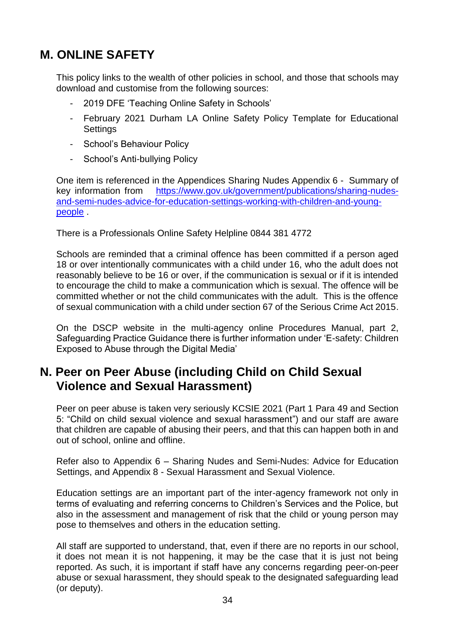# **M. ONLINE SAFETY**

This policy links to the wealth of other policies in school, and those that schools may download and customise from the following sources:

- 2019 DFE 'Teaching Online Safety in Schools'
- February 2021 Durham LA Online Safety Policy Template for Educational **Settings**
- School's Behaviour Policy
- School's Anti-bullying Policy

One item is referenced in the Appendices Sharing Nudes Appendix 6 - Summary of key information from [https://www.gov.uk/government/publications/sharing-nudes](https://www.gov.uk/government/publications/sharing-nudes-and-semi-nudes-advice-for-education-settings-working-with-children-and-young-people)[and-semi-nudes-advice-for-education-settings-working-with-children-and-young](https://www.gov.uk/government/publications/sharing-nudes-and-semi-nudes-advice-for-education-settings-working-with-children-and-young-people)[people](https://www.gov.uk/government/publications/sharing-nudes-and-semi-nudes-advice-for-education-settings-working-with-children-and-young-people) .

There is a Professionals Online Safety Helpline 0844 381 4772

Schools are reminded that a criminal offence has been committed if a person aged 18 or over intentionally communicates with a child under 16, who the adult does not reasonably believe to be 16 or over, if the communication is sexual or if it is intended to encourage the child to make a communication which is sexual. The offence will be committed whether or not the child communicates with the adult. This is the offence of sexual communication with a child under section 67 of the Serious Crime Act 2015.

On the DSCP website in the multi-agency online Procedures Manual, part 2, Safeguarding Practice Guidance there is further information under 'E-safety: Children Exposed to Abuse through the Digital Media'

## **N. Peer on Peer Abuse (including Child on Child Sexual Violence and Sexual Harassment)**

Peer on peer abuse is taken very seriously KCSIE 2021 (Part 1 Para 49 and Section 5: "Child on child sexual violence and sexual harassment") and our staff are aware that children are capable of abusing their peers, and that this can happen both in and out of school, online and offline.

Refer also to Appendix 6 – Sharing Nudes and Semi-Nudes: Advice for Education Settings, and Appendix 8 - Sexual Harassment and Sexual Violence.

Education settings are an important part of the inter-agency framework not only in terms of evaluating and referring concerns to Children's Services and the Police, but also in the assessment and management of risk that the child or young person may pose to themselves and others in the education setting.

All staff are supported to understand, that, even if there are no reports in our school, it does not mean it is not happening, it may be the case that it is just not being reported. As such, it is important if staff have any concerns regarding peer-on-peer abuse or sexual harassment, they should speak to the designated safeguarding lead (or deputy).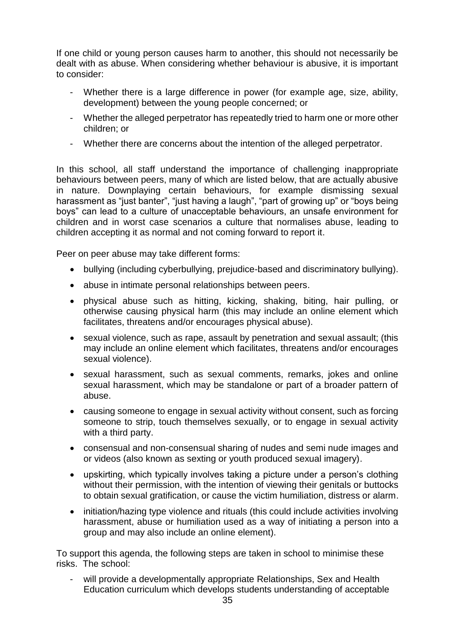If one child or young person causes harm to another, this should not necessarily be dealt with as abuse. When considering whether behaviour is abusive, it is important to consider:

- Whether there is a large difference in power (for example age, size, ability, development) between the young people concerned; or
- Whether the alleged perpetrator has repeatedly tried to harm one or more other children; or
- Whether there are concerns about the intention of the alleged perpetrator.

In this school, all staff understand the importance of challenging inappropriate behaviours between peers, many of which are listed below, that are actually abusive in nature. Downplaying certain behaviours, for example dismissing sexual harassment as "just banter", "just having a laugh", "part of growing up" or "boys being boys" can lead to a culture of unacceptable behaviours, an unsafe environment for children and in worst case scenarios a culture that normalises abuse, leading to children accepting it as normal and not coming forward to report it.

Peer on peer abuse may take different forms:

- bullying (including cyberbullying, prejudice-based and discriminatory bullying).
- abuse in intimate personal relationships between peers.
- physical abuse such as hitting, kicking, shaking, biting, hair pulling, or otherwise causing physical harm (this may include an online element which facilitates, threatens and/or encourages physical abuse).
- sexual violence, such as rape, assault by penetration and sexual assault; (this may include an online element which facilitates, threatens and/or encourages sexual violence).
- sexual harassment, such as sexual comments, remarks, jokes and online sexual harassment, which may be standalone or part of a broader pattern of abuse.
- causing someone to engage in sexual activity without consent, such as forcing someone to strip, touch themselves sexually, or to engage in sexual activity with a third party.
- consensual and non-consensual sharing of nudes and semi nude images and or videos (also known as sexting or youth produced sexual imagery).
- upskirting, which typically involves taking a picture under a person's clothing without their permission, with the intention of viewing their genitals or buttocks to obtain sexual gratification, or cause the victim humiliation, distress or alarm.
- initiation/hazing type violence and rituals (this could include activities involving harassment, abuse or humiliation used as a way of initiating a person into a group and may also include an online element).

To support this agenda, the following steps are taken in school to minimise these risks. The school:

will provide a developmentally appropriate Relationships, Sex and Health Education curriculum which develops students understanding of acceptable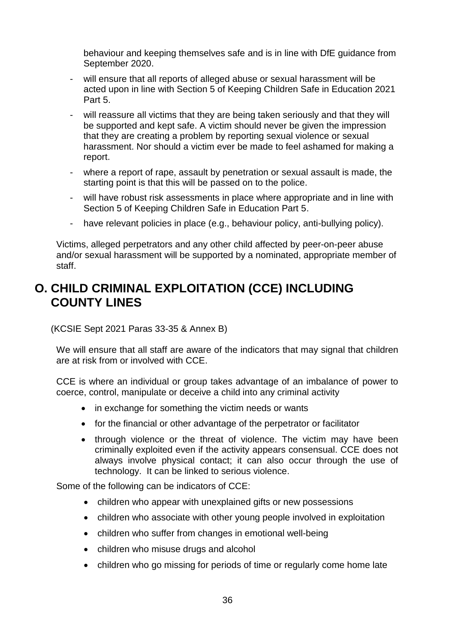behaviour and keeping themselves safe and is in line with DfE guidance from September 2020.

- will ensure that all reports of alleged abuse or sexual harassment will be acted upon in line with Section 5 of Keeping Children Safe in Education 2021 Part 5.
- will reassure all victims that they are being taken seriously and that they will be supported and kept safe. A victim should never be given the impression that they are creating a problem by reporting sexual violence or sexual harassment. Nor should a victim ever be made to feel ashamed for making a report.
- where a report of rape, assault by penetration or sexual assault is made, the starting point is that this will be passed on to the police.
- will have robust risk assessments in place where appropriate and in line with Section 5 of Keeping Children Safe in Education Part 5.
- have relevant policies in place (e.g., behaviour policy, anti-bullying policy).

Victims, alleged perpetrators and any other child affected by peer-on-peer abuse and/or sexual harassment will be supported by a nominated, appropriate member of staff.

## **O. CHILD CRIMINAL EXPLOITATION (CCE) INCLUDING COUNTY LINES**

(KCSIE Sept 2021 Paras 33-35 & Annex B)

We will ensure that all staff are aware of the indicators that may signal that children are at risk from or involved with CCE.

CCE is where an individual or group takes advantage of an imbalance of power to coerce, control, manipulate or deceive a child into any criminal activity

- in exchange for something the victim needs or wants
- for the financial or other advantage of the perpetrator or facilitator
- through violence or the threat of violence. The victim may have been criminally exploited even if the activity appears consensual. CCE does not always involve physical contact; it can also occur through the use of technology. It can be linked to serious violence.

Some of the following can be indicators of CCE:

- children who appear with unexplained gifts or new possessions
- children who associate with other young people involved in exploitation
- children who suffer from changes in emotional well-being
- children who misuse drugs and alcohol
- children who go missing for periods of time or regularly come home late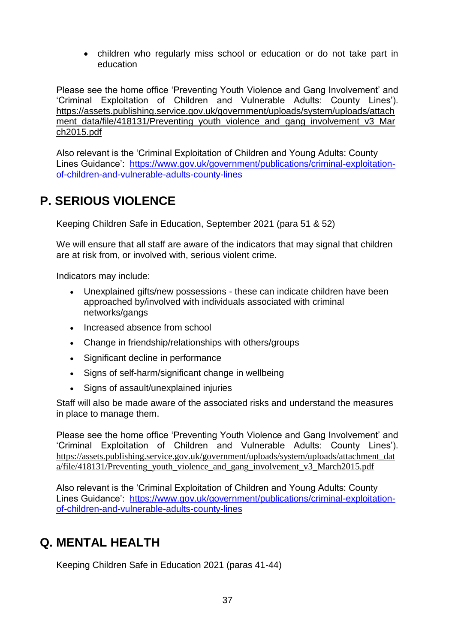• children who regularly miss school or education or do not take part in education

Please see the home office 'Preventing Youth Violence and Gang Involvement' and 'Criminal Exploitation of Children and Vulnerable Adults: County Lines'). [https://assets.publishing.service.gov.uk/government/uploads/system/uploads/attach](https://assets.publishing.service.gov.uk/government/uploads/system/uploads/attachment_data/file/418131/Preventing_youth_violence_and_gang_involvement_v3_March2015.pdf) [ment\\_data/file/418131/Preventing\\_youth\\_violence\\_and\\_gang\\_involvement\\_v3\\_Mar](https://assets.publishing.service.gov.uk/government/uploads/system/uploads/attachment_data/file/418131/Preventing_youth_violence_and_gang_involvement_v3_March2015.pdf) [ch2015.pdf](https://assets.publishing.service.gov.uk/government/uploads/system/uploads/attachment_data/file/418131/Preventing_youth_violence_and_gang_involvement_v3_March2015.pdf)

Also relevant is the 'Criminal Exploitation of Children and Young Adults: County Lines Guidance': [https://www.gov.uk/government/publications/criminal-exploitation](https://www.gov.uk/government/publications/criminal-exploitation-of-children-and-vulnerable-adults-county-lines)[of-children-and-vulnerable-adults-county-lines](https://www.gov.uk/government/publications/criminal-exploitation-of-children-and-vulnerable-adults-county-lines)

# **P. SERIOUS VIOLENCE**

Keeping Children Safe in Education, September 2021 (para 51 & 52)

We will ensure that all staff are aware of the indicators that may signal that children are at risk from, or involved with, serious violent crime.

Indicators may include:

- Unexplained gifts/new possessions these can indicate children have been approached by/involved with individuals associated with criminal networks/gangs
- Increased absence from school
- Change in friendship/relationships with others/groups
- Significant decline in performance
- Signs of self-harm/significant change in wellbeing
- Signs of assault/unexplained injuries

Staff will also be made aware of the associated risks and understand the measures in place to manage them.

Please see the home office 'Preventing Youth Violence and Gang Involvement' and 'Criminal Exploitation of Children and Vulnerable Adults: County Lines'). [https://assets.publishing.service.gov.uk/government/uploads/system/uploads/attachment\\_dat](https://assets.publishing.service.gov.uk/government/uploads/system/uploads/attachment_data/file/418131/Preventing_youth_violence_and_gang_involvement_v3_March2015.pdf) [a/file/418131/Preventing\\_youth\\_violence\\_and\\_gang\\_involvement\\_v3\\_March2015.pdf](https://assets.publishing.service.gov.uk/government/uploads/system/uploads/attachment_data/file/418131/Preventing_youth_violence_and_gang_involvement_v3_March2015.pdf)

Also relevant is the 'Criminal Exploitation of Children and Young Adults: County Lines Guidance': [https://www.gov.uk/government/publications/criminal-exploitation](https://www.gov.uk/government/publications/criminal-exploitation-of-children-and-vulnerable-adults-county-lines)[of-children-and-vulnerable-adults-county-lines](https://www.gov.uk/government/publications/criminal-exploitation-of-children-and-vulnerable-adults-county-lines)

## **Q. MENTAL HEALTH**

Keeping Children Safe in Education 2021 (paras 41-44)